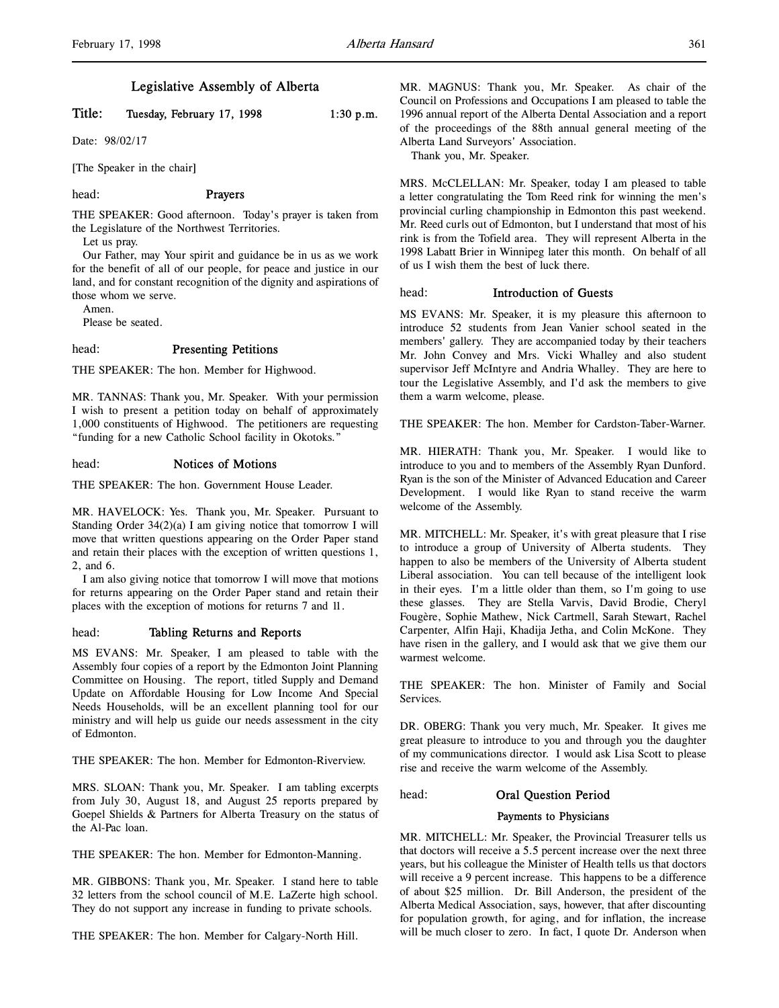# Legislative Assembly of Alberta

# Title: Tuesday, February 17, 1998  $1:30 \text{ p.m.}$

Date: 98/02/17

[The Speaker in the chair]

# head: Prayers

THE SPEAKER: Good afternoon. Today's prayer is taken from the Legislature of the Northwest Territories.

Let us pray.

Our Father, may Your spirit and guidance be in us as we work for the benefit of all of our people, for peace and justice in our land, and for constant recognition of the dignity and aspirations of those whom we serve.

Amen.

Please be seated.

### head: Presenting Petitions

THE SPEAKER: The hon. Member for Highwood.

MR. TANNAS: Thank you, Mr. Speaker. With your permission I wish to present a petition today on behalf of approximately 1,000 constituents of Highwood. The petitioners are requesting "funding for a new Catholic School facility in Okotoks."

#### head: Notices of Motions

THE SPEAKER: The hon. Government House Leader.

MR. HAVELOCK: Yes. Thank you, Mr. Speaker. Pursuant to Standing Order 34(2)(a) I am giving notice that tomorrow I will move that written questions appearing on the Order Paper stand and retain their places with the exception of written questions 1, 2, and 6.

I am also giving notice that tomorrow I will move that motions for returns appearing on the Order Paper stand and retain their places with the exception of motions for returns 7 and 11.

### head: Tabling Returns and Reports

MS EVANS: Mr. Speaker, I am pleased to table with the Assembly four copies of a report by the Edmonton Joint Planning Committee on Housing. The report, titled Supply and Demand Update on Affordable Housing for Low Income And Special Needs Households, will be an excellent planning tool for our ministry and will help us guide our needs assessment in the city of Edmonton.

THE SPEAKER: The hon. Member for Edmonton-Riverview.

MRS. SLOAN: Thank you, Mr. Speaker. I am tabling excerpts from July 30, August 18, and August 25 reports prepared by Goepel Shields & Partners for Alberta Treasury on the status of the Al-Pac loan.

THE SPEAKER: The hon. Member for Edmonton-Manning.

MR. GIBBONS: Thank you, Mr. Speaker. I stand here to table 32 letters from the school council of M.E. LaZerte high school. They do not support any increase in funding to private schools.

THE SPEAKER: The hon. Member for Calgary-North Hill.

MR. MAGNUS: Thank you, Mr. Speaker. As chair of the Council on Professions and Occupations I am pleased to table the 1996 annual report of the Alberta Dental Association and a report of the proceedings of the 88th annual general meeting of the Alberta Land Surveyors' Association.

Thank you, Mr. Speaker.

MRS. McCLELLAN: Mr. Speaker, today I am pleased to table a letter congratulating the Tom Reed rink for winning the men's provincial curling championship in Edmonton this past weekend. Mr. Reed curls out of Edmonton, but I understand that most of his rink is from the Tofield area. They will represent Alberta in the 1998 Labatt Brier in Winnipeg later this month. On behalf of all of us I wish them the best of luck there.

# head: Introduction of Guests

MS EVANS: Mr. Speaker, it is my pleasure this afternoon to introduce 52 students from Jean Vanier school seated in the members' gallery. They are accompanied today by their teachers Mr. John Convey and Mrs. Vicki Whalley and also student supervisor Jeff McIntyre and Andria Whalley. They are here to tour the Legislative Assembly, and I'd ask the members to give them a warm welcome, please.

THE SPEAKER: The hon. Member for Cardston-Taber-Warner.

MR. HIERATH: Thank you, Mr. Speaker. I would like to introduce to you and to members of the Assembly Ryan Dunford. Ryan is the son of the Minister of Advanced Education and Career Development. I would like Ryan to stand receive the warm welcome of the Assembly.

MR. MITCHELL: Mr. Speaker, it's with great pleasure that I rise to introduce a group of University of Alberta students. They happen to also be members of the University of Alberta student Liberal association. You can tell because of the intelligent look in their eyes. I'm a little older than them, so I'm going to use these glasses. They are Stella Varvis, David Brodie, Cheryl Fougère, Sophie Mathew, Nick Cartmell, Sarah Stewart, Rachel Carpenter, Alfin Haji, Khadija Jetha, and Colin McKone. They have risen in the gallery, and I would ask that we give them our warmest welcome.

THE SPEAKER: The hon. Minister of Family and Social Services.

DR. OBERG: Thank you very much, Mr. Speaker. It gives me great pleasure to introduce to you and through you the daughter of my communications director. I would ask Lisa Scott to please rise and receive the warm welcome of the Assembly.

head: Oral Question Period

# Payments to Physicians

MR. MITCHELL: Mr. Speaker, the Provincial Treasurer tells us that doctors will receive a 5.5 percent increase over the next three years, but his colleague the Minister of Health tells us that doctors will receive a 9 percent increase. This happens to be a difference of about \$25 million. Dr. Bill Anderson, the president of the Alberta Medical Association, says, however, that after discounting for population growth, for aging, and for inflation, the increase will be much closer to zero. In fact, I quote Dr. Anderson when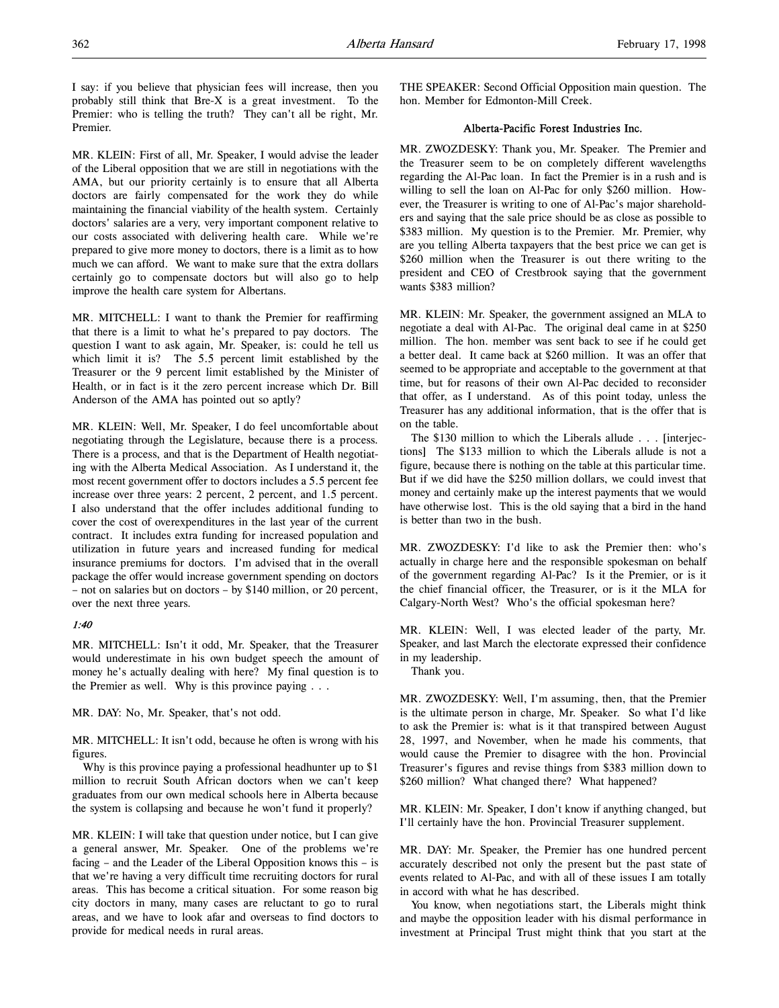I say: if you believe that physician fees will increase, then you probably still think that Bre-X is a great investment. To the Premier: who is telling the truth? They can't all be right, Mr. Premier.

MR. KLEIN: First of all, Mr. Speaker, I would advise the leader of the Liberal opposition that we are still in negotiations with the AMA, but our priority certainly is to ensure that all Alberta doctors are fairly compensated for the work they do while maintaining the financial viability of the health system. Certainly doctors' salaries are a very, very important component relative to our costs associated with delivering health care. While we're prepared to give more money to doctors, there is a limit as to how much we can afford. We want to make sure that the extra dollars certainly go to compensate doctors but will also go to help improve the health care system for Albertans.

MR. MITCHELL: I want to thank the Premier for reaffirming that there is a limit to what he's prepared to pay doctors. The question I want to ask again, Mr. Speaker, is: could he tell us which limit it is? The 5.5 percent limit established by the Treasurer or the 9 percent limit established by the Minister of Health, or in fact is it the zero percent increase which Dr. Bill Anderson of the AMA has pointed out so aptly?

MR. KLEIN: Well, Mr. Speaker, I do feel uncomfortable about negotiating through the Legislature, because there is a process. There is a process, and that is the Department of Health negotiating with the Alberta Medical Association. As I understand it, the most recent government offer to doctors includes a 5.5 percent fee increase over three years: 2 percent, 2 percent, and 1.5 percent. I also understand that the offer includes additional funding to cover the cost of overexpenditures in the last year of the current contract. It includes extra funding for increased population and utilization in future years and increased funding for medical insurance premiums for doctors. I'm advised that in the overall package the offer would increase government spending on doctors – not on salaries but on doctors – by \$140 million, or 20 percent, over the next three years.

# 1:40

MR. MITCHELL: Isn't it odd, Mr. Speaker, that the Treasurer would underestimate in his own budget speech the amount of money he's actually dealing with here? My final question is to the Premier as well. Why is this province paying . . .

MR. DAY: No, Mr. Speaker, that's not odd.

MR. MITCHELL: It isn't odd, because he often is wrong with his figures.

Why is this province paying a professional headhunter up to \$1 million to recruit South African doctors when we can't keep graduates from our own medical schools here in Alberta because the system is collapsing and because he won't fund it properly?

MR. KLEIN: I will take that question under notice, but I can give a general answer, Mr. Speaker. One of the problems we're facing – and the Leader of the Liberal Opposition knows this – is that we're having a very difficult time recruiting doctors for rural areas. This has become a critical situation. For some reason big city doctors in many, many cases are reluctant to go to rural areas, and we have to look afar and overseas to find doctors to provide for medical needs in rural areas.

THE SPEAKER: Second Official Opposition main question. The hon. Member for Edmonton-Mill Creek.

# Alberta-Pacific Forest Industries Inc.

MR. ZWOZDESKY: Thank you, Mr. Speaker. The Premier and the Treasurer seem to be on completely different wavelengths regarding the Al-Pac loan. In fact the Premier is in a rush and is willing to sell the loan on Al-Pac for only \$260 million. However, the Treasurer is writing to one of Al-Pac's major shareholders and saying that the sale price should be as close as possible to \$383 million. My question is to the Premier. Mr. Premier, why are you telling Alberta taxpayers that the best price we can get is \$260 million when the Treasurer is out there writing to the president and CEO of Crestbrook saying that the government wants \$383 million?

MR. KLEIN: Mr. Speaker, the government assigned an MLA to negotiate a deal with Al-Pac. The original deal came in at \$250 million. The hon. member was sent back to see if he could get a better deal. It came back at \$260 million. It was an offer that seemed to be appropriate and acceptable to the government at that time, but for reasons of their own Al-Pac decided to reconsider that offer, as I understand. As of this point today, unless the Treasurer has any additional information, that is the offer that is on the table.

The \$130 million to which the Liberals allude . . . [interjections] The \$133 million to which the Liberals allude is not a figure, because there is nothing on the table at this particular time. But if we did have the \$250 million dollars, we could invest that money and certainly make up the interest payments that we would have otherwise lost. This is the old saying that a bird in the hand is better than two in the bush.

MR. ZWOZDESKY: I'd like to ask the Premier then: who's actually in charge here and the responsible spokesman on behalf of the government regarding Al-Pac? Is it the Premier, or is it the chief financial officer, the Treasurer, or is it the MLA for Calgary-North West? Who's the official spokesman here?

MR. KLEIN: Well, I was elected leader of the party, Mr. Speaker, and last March the electorate expressed their confidence in my leadership.

Thank you.

MR. ZWOZDESKY: Well, I'm assuming, then, that the Premier is the ultimate person in charge, Mr. Speaker. So what I'd like to ask the Premier is: what is it that transpired between August 28, 1997, and November, when he made his comments, that would cause the Premier to disagree with the hon. Provincial Treasurer's figures and revise things from \$383 million down to \$260 million? What changed there? What happened?

MR. KLEIN: Mr. Speaker, I don't know if anything changed, but I'll certainly have the hon. Provincial Treasurer supplement.

MR. DAY: Mr. Speaker, the Premier has one hundred percent accurately described not only the present but the past state of events related to Al-Pac, and with all of these issues I am totally in accord with what he has described.

You know, when negotiations start, the Liberals might think and maybe the opposition leader with his dismal performance in investment at Principal Trust might think that you start at the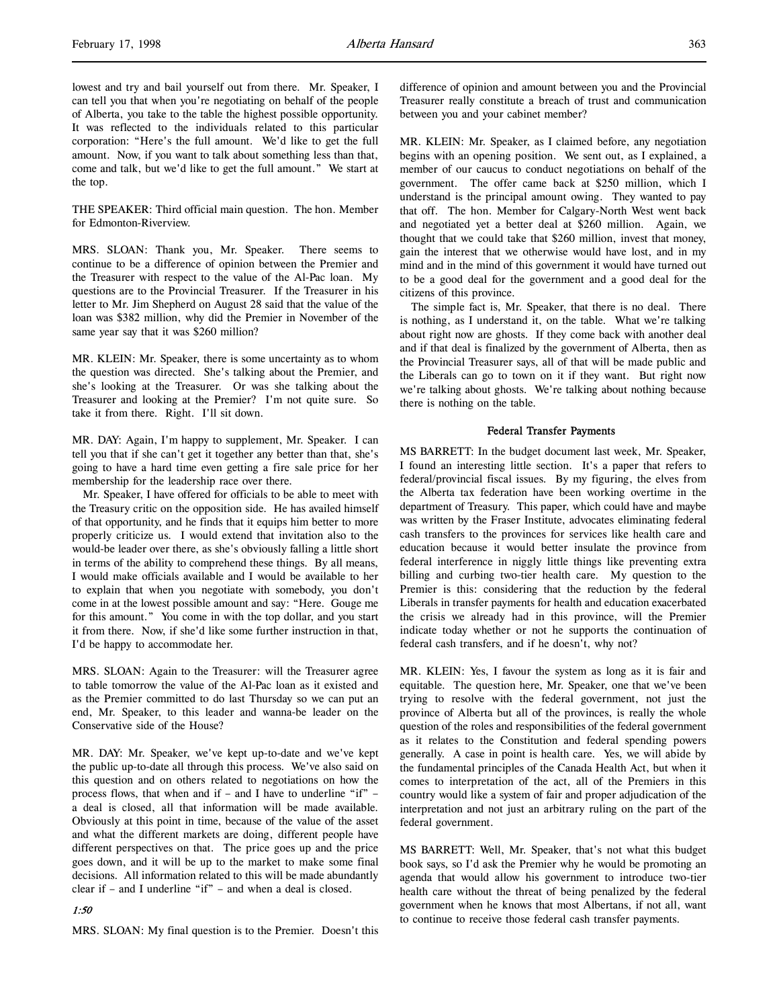lowest and try and bail yourself out from there. Mr. Speaker, I can tell you that when you're negotiating on behalf of the people of Alberta, you take to the table the highest possible opportunity. It was reflected to the individuals related to this particular corporation: "Here's the full amount. We'd like to get the full amount. Now, if you want to talk about something less than that, come and talk, but we'd like to get the full amount." We start at the top.

THE SPEAKER: Third official main question. The hon. Member for Edmonton-Riverview.

MRS. SLOAN: Thank you, Mr. Speaker. There seems to continue to be a difference of opinion between the Premier and the Treasurer with respect to the value of the Al-Pac loan. My questions are to the Provincial Treasurer. If the Treasurer in his letter to Mr. Jim Shepherd on August 28 said that the value of the loan was \$382 million, why did the Premier in November of the same year say that it was \$260 million?

MR. KLEIN: Mr. Speaker, there is some uncertainty as to whom the question was directed. She's talking about the Premier, and she's looking at the Treasurer. Or was she talking about the Treasurer and looking at the Premier? I'm not quite sure. So take it from there. Right. I'll sit down.

MR. DAY: Again, I'm happy to supplement, Mr. Speaker. I can tell you that if she can't get it together any better than that, she's going to have a hard time even getting a fire sale price for her membership for the leadership race over there.

Mr. Speaker, I have offered for officials to be able to meet with the Treasury critic on the opposition side. He has availed himself of that opportunity, and he finds that it equips him better to more properly criticize us. I would extend that invitation also to the would-be leader over there, as she's obviously falling a little short in terms of the ability to comprehend these things. By all means, I would make officials available and I would be available to her to explain that when you negotiate with somebody, you don't come in at the lowest possible amount and say: "Here. Gouge me for this amount." You come in with the top dollar, and you start it from there. Now, if she'd like some further instruction in that, I'd be happy to accommodate her.

MRS. SLOAN: Again to the Treasurer: will the Treasurer agree to table tomorrow the value of the Al-Pac loan as it existed and as the Premier committed to do last Thursday so we can put an end, Mr. Speaker, to this leader and wanna-be leader on the Conservative side of the House?

MR. DAY: Mr. Speaker, we've kept up-to-date and we've kept the public up-to-date all through this process. We've also said on this question and on others related to negotiations on how the process flows, that when and if – and I have to underline "if" – a deal is closed, all that information will be made available. Obviously at this point in time, because of the value of the asset and what the different markets are doing, different people have different perspectives on that. The price goes up and the price goes down, and it will be up to the market to make some final decisions. All information related to this will be made abundantly clear if – and I underline "if" – and when a deal is closed.

#### 1:50

MRS. SLOAN: My final question is to the Premier. Doesn't this

difference of opinion and amount between you and the Provincial Treasurer really constitute a breach of trust and communication between you and your cabinet member?

MR. KLEIN: Mr. Speaker, as I claimed before, any negotiation begins with an opening position. We sent out, as I explained, a member of our caucus to conduct negotiations on behalf of the government. The offer came back at \$250 million, which I understand is the principal amount owing. They wanted to pay that off. The hon. Member for Calgary-North West went back and negotiated yet a better deal at \$260 million. Again, we thought that we could take that \$260 million, invest that money, gain the interest that we otherwise would have lost, and in my mind and in the mind of this government it would have turned out to be a good deal for the government and a good deal for the citizens of this province.

The simple fact is, Mr. Speaker, that there is no deal. There is nothing, as I understand it, on the table. What we're talking about right now are ghosts. If they come back with another deal and if that deal is finalized by the government of Alberta, then as the Provincial Treasurer says, all of that will be made public and the Liberals can go to town on it if they want. But right now we're talking about ghosts. We're talking about nothing because there is nothing on the table.

#### Federal Transfer Payments

MS BARRETT: In the budget document last week, Mr. Speaker, I found an interesting little section. It's a paper that refers to federal/provincial fiscal issues. By my figuring, the elves from the Alberta tax federation have been working overtime in the department of Treasury. This paper, which could have and maybe was written by the Fraser Institute, advocates eliminating federal cash transfers to the provinces for services like health care and education because it would better insulate the province from federal interference in niggly little things like preventing extra billing and curbing two-tier health care. My question to the Premier is this: considering that the reduction by the federal Liberals in transfer payments for health and education exacerbated the crisis we already had in this province, will the Premier indicate today whether or not he supports the continuation of federal cash transfers, and if he doesn't, why not?

MR. KLEIN: Yes, I favour the system as long as it is fair and equitable. The question here, Mr. Speaker, one that we've been trying to resolve with the federal government, not just the province of Alberta but all of the provinces, is really the whole question of the roles and responsibilities of the federal government as it relates to the Constitution and federal spending powers generally. A case in point is health care. Yes, we will abide by the fundamental principles of the Canada Health Act, but when it comes to interpretation of the act, all of the Premiers in this country would like a system of fair and proper adjudication of the interpretation and not just an arbitrary ruling on the part of the federal government.

MS BARRETT: Well, Mr. Speaker, that's not what this budget book says, so I'd ask the Premier why he would be promoting an agenda that would allow his government to introduce two-tier health care without the threat of being penalized by the federal government when he knows that most Albertans, if not all, want to continue to receive those federal cash transfer payments.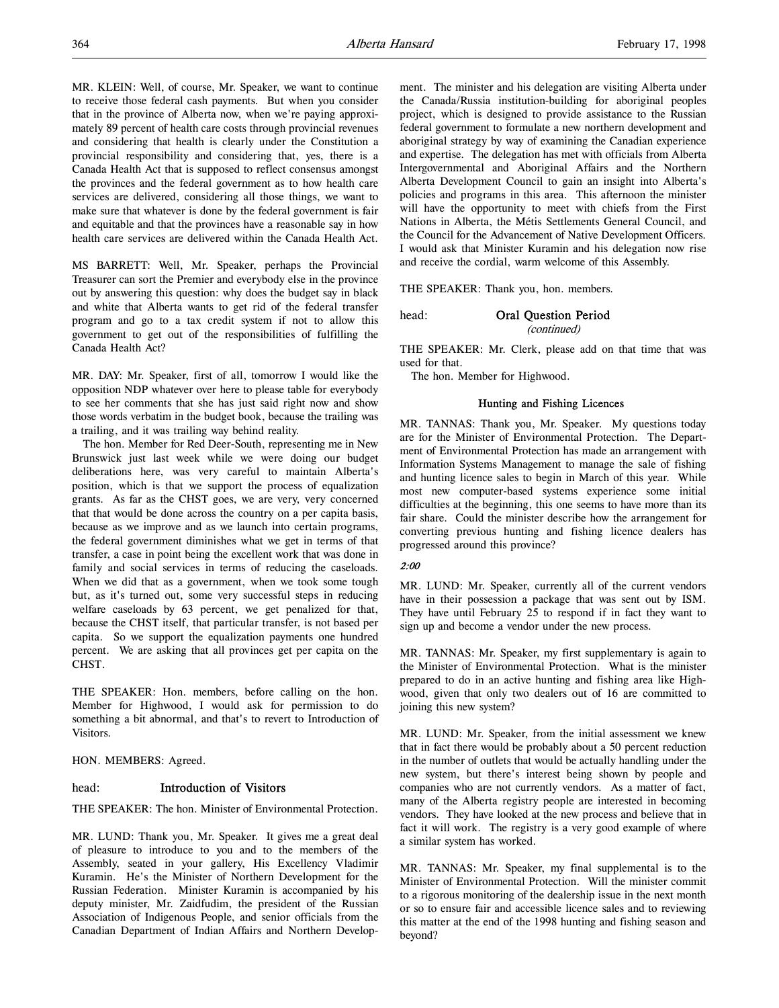MR. KLEIN: Well, of course, Mr. Speaker, we want to continue to receive those federal cash payments. But when you consider that in the province of Alberta now, when we're paying approximately 89 percent of health care costs through provincial revenues and considering that health is clearly under the Constitution a provincial responsibility and considering that, yes, there is a Canada Health Act that is supposed to reflect consensus amongst the provinces and the federal government as to how health care services are delivered, considering all those things, we want to make sure that whatever is done by the federal government is fair and equitable and that the provinces have a reasonable say in how health care services are delivered within the Canada Health Act.

MS BARRETT: Well, Mr. Speaker, perhaps the Provincial Treasurer can sort the Premier and everybody else in the province out by answering this question: why does the budget say in black and white that Alberta wants to get rid of the federal transfer program and go to a tax credit system if not to allow this government to get out of the responsibilities of fulfilling the Canada Health Act?

MR. DAY: Mr. Speaker, first of all, tomorrow I would like the opposition NDP whatever over here to please table for everybody to see her comments that she has just said right now and show those words verbatim in the budget book, because the trailing was a trailing, and it was trailing way behind reality.

The hon. Member for Red Deer-South, representing me in New Brunswick just last week while we were doing our budget deliberations here, was very careful to maintain Alberta's position, which is that we support the process of equalization grants. As far as the CHST goes, we are very, very concerned that that would be done across the country on a per capita basis, because as we improve and as we launch into certain programs, the federal government diminishes what we get in terms of that transfer, a case in point being the excellent work that was done in family and social services in terms of reducing the caseloads. When we did that as a government, when we took some tough but, as it's turned out, some very successful steps in reducing welfare caseloads by 63 percent, we get penalized for that, because the CHST itself, that particular transfer, is not based per capita. So we support the equalization payments one hundred percent. We are asking that all provinces get per capita on the CHST.

THE SPEAKER: Hon. members, before calling on the hon. Member for Highwood, I would ask for permission to do something a bit abnormal, and that's to revert to Introduction of Visitors.

HON. MEMBERS: Agreed.

# head: Introduction of Visitors

THE SPEAKER: The hon. Minister of Environmental Protection.

MR. LUND: Thank you, Mr. Speaker. It gives me a great deal of pleasure to introduce to you and to the members of the Assembly, seated in your gallery, His Excellency Vladimir Kuramin. He's the Minister of Northern Development for the Russian Federation. Minister Kuramin is accompanied by his deputy minister, Mr. Zaidfudim, the president of the Russian Association of Indigenous People, and senior officials from the Canadian Department of Indian Affairs and Northern Development. The minister and his delegation are visiting Alberta under the Canada/Russia institution-building for aboriginal peoples project, which is designed to provide assistance to the Russian federal government to formulate a new northern development and aboriginal strategy by way of examining the Canadian experience and expertise. The delegation has met with officials from Alberta Intergovernmental and Aboriginal Affairs and the Northern Alberta Development Council to gain an insight into Alberta's policies and programs in this area. This afternoon the minister will have the opportunity to meet with chiefs from the First Nations in Alberta, the Métis Settlements General Council, and the Council for the Advancement of Native Development Officers. I would ask that Minister Kuramin and his delegation now rise and receive the cordial, warm welcome of this Assembly.

THE SPEAKER: Thank you, hon. members.

# head: Oral Question Period (continued)

THE SPEAKER: Mr. Clerk, please add on that time that was used for that.

The hon. Member for Highwood.

#### Hunting and Fishing Licences

MR. TANNAS: Thank you, Mr. Speaker. My questions today are for the Minister of Environmental Protection. The Department of Environmental Protection has made an arrangement with Information Systems Management to manage the sale of fishing and hunting licence sales to begin in March of this year. While most new computer-based systems experience some initial difficulties at the beginning, this one seems to have more than its fair share. Could the minister describe how the arrangement for converting previous hunting and fishing licence dealers has progressed around this province?

# 2:00

MR. LUND: Mr. Speaker, currently all of the current vendors have in their possession a package that was sent out by ISM. They have until February 25 to respond if in fact they want to sign up and become a vendor under the new process.

MR. TANNAS: Mr. Speaker, my first supplementary is again to the Minister of Environmental Protection. What is the minister prepared to do in an active hunting and fishing area like Highwood, given that only two dealers out of 16 are committed to joining this new system?

MR. LUND: Mr. Speaker, from the initial assessment we knew that in fact there would be probably about a 50 percent reduction in the number of outlets that would be actually handling under the new system, but there's interest being shown by people and companies who are not currently vendors. As a matter of fact, many of the Alberta registry people are interested in becoming vendors. They have looked at the new process and believe that in fact it will work. The registry is a very good example of where a similar system has worked.

MR. TANNAS: Mr. Speaker, my final supplemental is to the Minister of Environmental Protection. Will the minister commit to a rigorous monitoring of the dealership issue in the next month or so to ensure fair and accessible licence sales and to reviewing this matter at the end of the 1998 hunting and fishing season and beyond?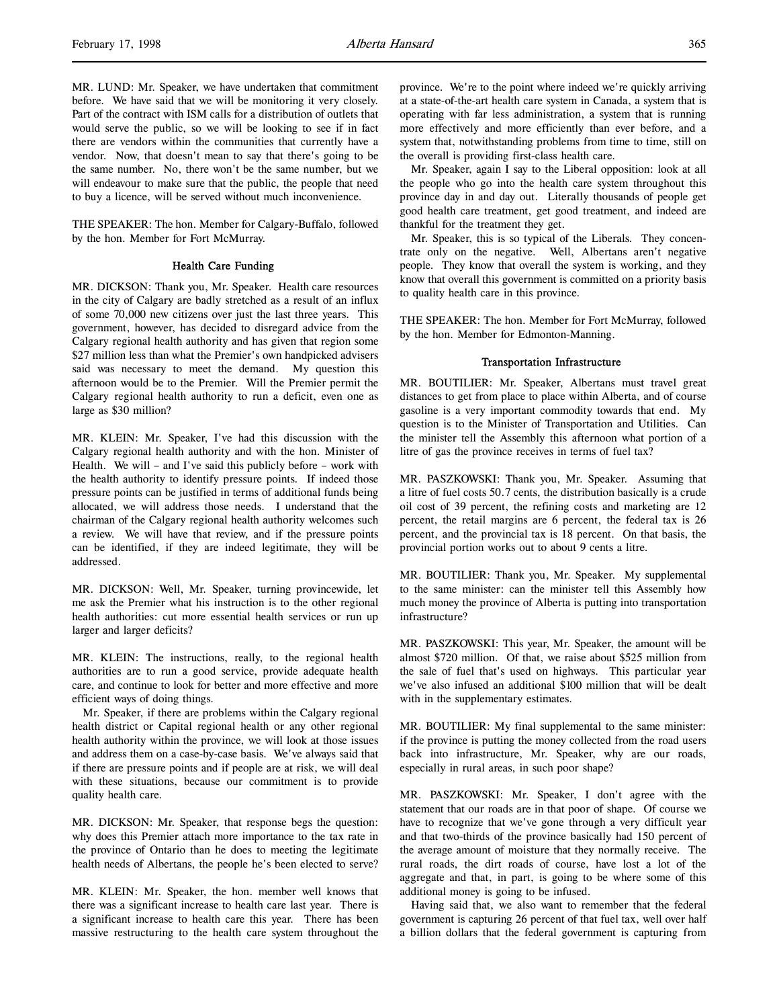MR. LUND: Mr. Speaker, we have undertaken that commitment before. We have said that we will be monitoring it very closely. Part of the contract with ISM calls for a distribution of outlets that would serve the public, so we will be looking to see if in fact there are vendors within the communities that currently have a vendor. Now, that doesn't mean to say that there's going to be the same number. No, there won't be the same number, but we will endeavour to make sure that the public, the people that need to buy a licence, will be served without much inconvenience.

THE SPEAKER: The hon. Member for Calgary-Buffalo, followed by the hon. Member for Fort McMurray.

### Health Care Funding

MR. DICKSON: Thank you, Mr. Speaker. Health care resources in the city of Calgary are badly stretched as a result of an influx of some 70,000 new citizens over just the last three years. This government, however, has decided to disregard advice from the Calgary regional health authority and has given that region some \$27 million less than what the Premier's own handpicked advisers said was necessary to meet the demand. My question this afternoon would be to the Premier. Will the Premier permit the Calgary regional health authority to run a deficit, even one as large as \$30 million?

MR. KLEIN: Mr. Speaker, I've had this discussion with the Calgary regional health authority and with the hon. Minister of Health. We will – and I've said this publicly before – work with the health authority to identify pressure points. If indeed those pressure points can be justified in terms of additional funds being allocated, we will address those needs. I understand that the chairman of the Calgary regional health authority welcomes such a review. We will have that review, and if the pressure points can be identified, if they are indeed legitimate, they will be addressed.

MR. DICKSON: Well, Mr. Speaker, turning provincewide, let me ask the Premier what his instruction is to the other regional health authorities: cut more essential health services or run up larger and larger deficits?

MR. KLEIN: The instructions, really, to the regional health authorities are to run a good service, provide adequate health care, and continue to look for better and more effective and more efficient ways of doing things.

Mr. Speaker, if there are problems within the Calgary regional health district or Capital regional health or any other regional health authority within the province, we will look at those issues and address them on a case-by-case basis. We've always said that if there are pressure points and if people are at risk, we will deal with these situations, because our commitment is to provide quality health care.

MR. DICKSON: Mr. Speaker, that response begs the question: why does this Premier attach more importance to the tax rate in the province of Ontario than he does to meeting the legitimate health needs of Albertans, the people he's been elected to serve?

MR. KLEIN: Mr. Speaker, the hon. member well knows that there was a significant increase to health care last year. There is a significant increase to health care this year. There has been massive restructuring to the health care system throughout the

province. We're to the point where indeed we're quickly arriving at a state-of-the-art health care system in Canada, a system that is operating with far less administration, a system that is running more effectively and more efficiently than ever before, and a system that, notwithstanding problems from time to time, still on the overall is providing first-class health care.

Mr. Speaker, again I say to the Liberal opposition: look at all the people who go into the health care system throughout this province day in and day out. Literally thousands of people get good health care treatment, get good treatment, and indeed are thankful for the treatment they get.

Mr. Speaker, this is so typical of the Liberals. They concentrate only on the negative. Well, Albertans aren't negative people. They know that overall the system is working, and they know that overall this government is committed on a priority basis to quality health care in this province.

THE SPEAKER: The hon. Member for Fort McMurray, followed by the hon. Member for Edmonton-Manning.

#### Transportation Infrastructure

MR. BOUTILIER: Mr. Speaker, Albertans must travel great distances to get from place to place within Alberta, and of course gasoline is a very important commodity towards that end. My question is to the Minister of Transportation and Utilities. Can the minister tell the Assembly this afternoon what portion of a litre of gas the province receives in terms of fuel tax?

MR. PASZKOWSKI: Thank you, Mr. Speaker. Assuming that a litre of fuel costs 50.7 cents, the distribution basically is a crude oil cost of 39 percent, the refining costs and marketing are 12 percent, the retail margins are 6 percent, the federal tax is 26 percent, and the provincial tax is 18 percent. On that basis, the provincial portion works out to about 9 cents a litre.

MR. BOUTILIER: Thank you, Mr. Speaker. My supplemental to the same minister: can the minister tell this Assembly how much money the province of Alberta is putting into transportation infrastructure?

MR. PASZKOWSKI: This year, Mr. Speaker, the amount will be almost \$720 million. Of that, we raise about \$525 million from the sale of fuel that's used on highways. This particular year we've also infused an additional \$100 million that will be dealt with in the supplementary estimates.

MR. BOUTILIER: My final supplemental to the same minister: if the province is putting the money collected from the road users back into infrastructure, Mr. Speaker, why are our roads, especially in rural areas, in such poor shape?

MR. PASZKOWSKI: Mr. Speaker, I don't agree with the statement that our roads are in that poor of shape. Of course we have to recognize that we've gone through a very difficult year and that two-thirds of the province basically had 150 percent of the average amount of moisture that they normally receive. The rural roads, the dirt roads of course, have lost a lot of the aggregate and that, in part, is going to be where some of this additional money is going to be infused.

Having said that, we also want to remember that the federal government is capturing 26 percent of that fuel tax, well over half a billion dollars that the federal government is capturing from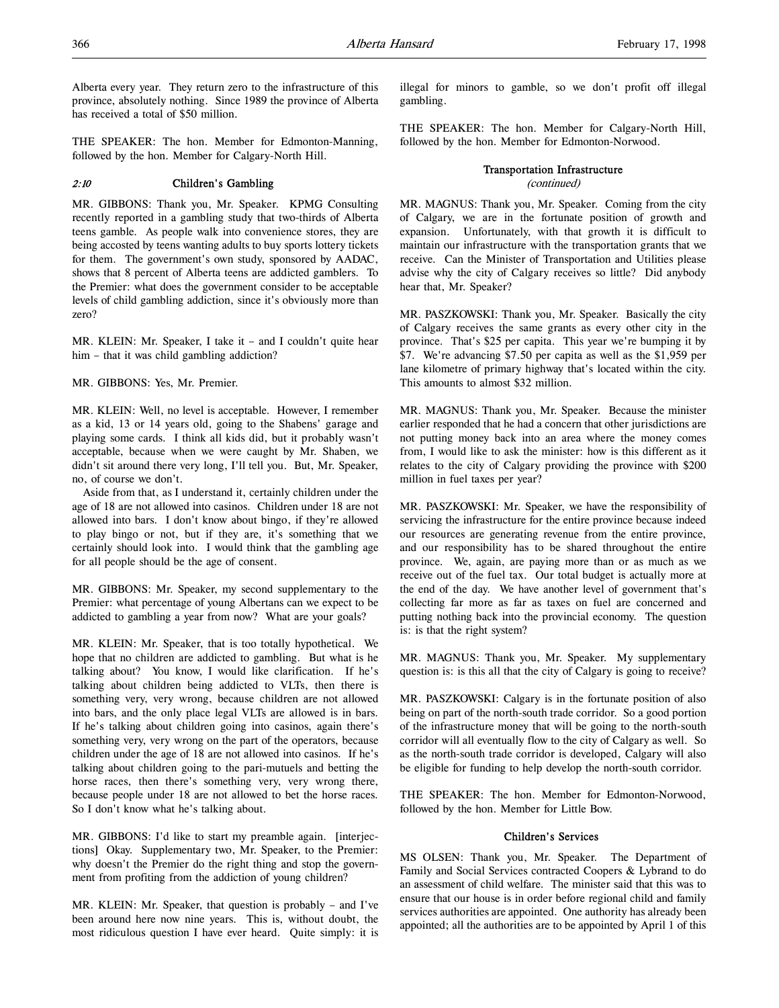Alberta every year. They return zero to the infrastructure of this province, absolutely nothing. Since 1989 the province of Alberta has received a total of \$50 million.

THE SPEAKER: The hon. Member for Edmonton-Manning, followed by the hon. Member for Calgary-North Hill.

# 2:10 Children's Gambling

MR. GIBBONS: Thank you, Mr. Speaker. KPMG Consulting recently reported in a gambling study that two-thirds of Alberta teens gamble. As people walk into convenience stores, they are being accosted by teens wanting adults to buy sports lottery tickets for them. The government's own study, sponsored by AADAC, shows that 8 percent of Alberta teens are addicted gamblers. To the Premier: what does the government consider to be acceptable levels of child gambling addiction, since it's obviously more than zero?

MR. KLEIN: Mr. Speaker, I take it – and I couldn't quite hear him – that it was child gambling addiction?

MR. GIBBONS: Yes, Mr. Premier.

MR. KLEIN: Well, no level is acceptable. However, I remember as a kid, 13 or 14 years old, going to the Shabens' garage and playing some cards. I think all kids did, but it probably wasn't acceptable, because when we were caught by Mr. Shaben, we didn't sit around there very long, I'll tell you. But, Mr. Speaker, no, of course we don't.

Aside from that, as I understand it, certainly children under the age of 18 are not allowed into casinos. Children under 18 are not allowed into bars. I don't know about bingo, if they're allowed to play bingo or not, but if they are, it's something that we certainly should look into. I would think that the gambling age for all people should be the age of consent.

MR. GIBBONS: Mr. Speaker, my second supplementary to the Premier: what percentage of young Albertans can we expect to be addicted to gambling a year from now? What are your goals?

MR. KLEIN: Mr. Speaker, that is too totally hypothetical. We hope that no children are addicted to gambling. But what is he talking about? You know, I would like clarification. If he's talking about children being addicted to VLTs, then there is something very, very wrong, because children are not allowed into bars, and the only place legal VLTs are allowed is in bars. If he's talking about children going into casinos, again there's something very, very wrong on the part of the operators, because children under the age of 18 are not allowed into casinos. If he's talking about children going to the pari-mutuels and betting the horse races, then there's something very, very wrong there, because people under 18 are not allowed to bet the horse races. So I don't know what he's talking about.

MR. GIBBONS: I'd like to start my preamble again. [interjections] Okay. Supplementary two, Mr. Speaker, to the Premier: why doesn't the Premier do the right thing and stop the government from profiting from the addiction of young children?

MR. KLEIN: Mr. Speaker, that question is probably – and I've been around here now nine years. This is, without doubt, the most ridiculous question I have ever heard. Quite simply: it is illegal for minors to gamble, so we don't profit off illegal gambling.

THE SPEAKER: The hon. Member for Calgary-North Hill, followed by the hon. Member for Edmonton-Norwood.

# Transportation Infrastructure

(continued)

MR. MAGNUS: Thank you, Mr. Speaker. Coming from the city of Calgary, we are in the fortunate position of growth and expansion. Unfortunately, with that growth it is difficult to maintain our infrastructure with the transportation grants that we receive. Can the Minister of Transportation and Utilities please advise why the city of Calgary receives so little? Did anybody hear that, Mr. Speaker?

MR. PASZKOWSKI: Thank you, Mr. Speaker. Basically the city of Calgary receives the same grants as every other city in the province. That's \$25 per capita. This year we're bumping it by \$7. We're advancing \$7.50 per capita as well as the \$1,959 per lane kilometre of primary highway that's located within the city. This amounts to almost \$32 million.

MR. MAGNUS: Thank you, Mr. Speaker. Because the minister earlier responded that he had a concern that other jurisdictions are not putting money back into an area where the money comes from, I would like to ask the minister: how is this different as it relates to the city of Calgary providing the province with \$200 million in fuel taxes per year?

MR. PASZKOWSKI: Mr. Speaker, we have the responsibility of servicing the infrastructure for the entire province because indeed our resources are generating revenue from the entire province, and our responsibility has to be shared throughout the entire province. We, again, are paying more than or as much as we receive out of the fuel tax. Our total budget is actually more at the end of the day. We have another level of government that's collecting far more as far as taxes on fuel are concerned and putting nothing back into the provincial economy. The question is: is that the right system?

MR. MAGNUS: Thank you, Mr. Speaker. My supplementary question is: is this all that the city of Calgary is going to receive?

MR. PASZKOWSKI: Calgary is in the fortunate position of also being on part of the north-south trade corridor. So a good portion of the infrastructure money that will be going to the north-south corridor will all eventually flow to the city of Calgary as well. So as the north-south trade corridor is developed, Calgary will also be eligible for funding to help develop the north-south corridor.

THE SPEAKER: The hon. Member for Edmonton-Norwood, followed by the hon. Member for Little Bow.

# Children's Services

MS OLSEN: Thank you, Mr. Speaker. The Department of Family and Social Services contracted Coopers & Lybrand to do an assessment of child welfare. The minister said that this was to ensure that our house is in order before regional child and family services authorities are appointed. One authority has already been appointed; all the authorities are to be appointed by April 1 of this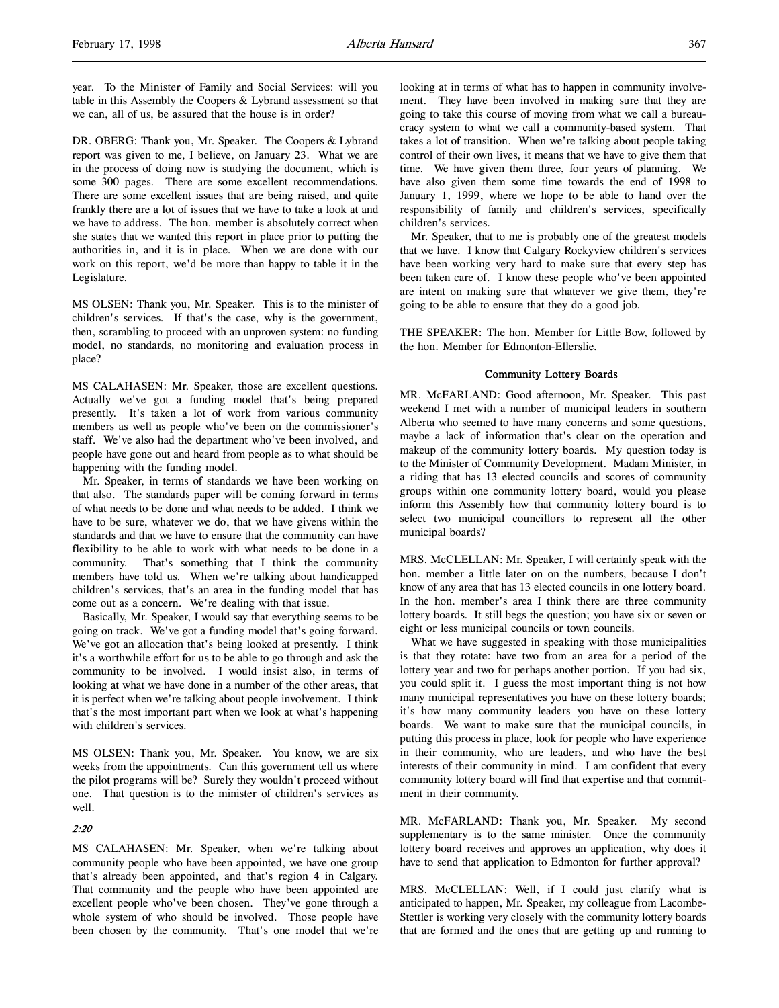year. To the Minister of Family and Social Services: will you table in this Assembly the Coopers & Lybrand assessment so that we can, all of us, be assured that the house is in order?

DR. OBERG: Thank you, Mr. Speaker. The Coopers & Lybrand report was given to me, I believe, on January 23. What we are in the process of doing now is studying the document, which is some 300 pages. There are some excellent recommendations. There are some excellent issues that are being raised, and quite frankly there are a lot of issues that we have to take a look at and we have to address. The hon. member is absolutely correct when she states that we wanted this report in place prior to putting the authorities in, and it is in place. When we are done with our work on this report, we'd be more than happy to table it in the Legislature.

MS OLSEN: Thank you, Mr. Speaker. This is to the minister of children's services. If that's the case, why is the government, then, scrambling to proceed with an unproven system: no funding model, no standards, no monitoring and evaluation process in place?

MS CALAHASEN: Mr. Speaker, those are excellent questions. Actually we've got a funding model that's being prepared presently. It's taken a lot of work from various community members as well as people who've been on the commissioner's staff. We've also had the department who've been involved, and people have gone out and heard from people as to what should be happening with the funding model.

Mr. Speaker, in terms of standards we have been working on that also. The standards paper will be coming forward in terms of what needs to be done and what needs to be added. I think we have to be sure, whatever we do, that we have givens within the standards and that we have to ensure that the community can have flexibility to be able to work with what needs to be done in a community. That's something that I think the community members have told us. When we're talking about handicapped children's services, that's an area in the funding model that has come out as a concern. We're dealing with that issue.

Basically, Mr. Speaker, I would say that everything seems to be going on track. We've got a funding model that's going forward. We've got an allocation that's being looked at presently. I think it's a worthwhile effort for us to be able to go through and ask the community to be involved. I would insist also, in terms of looking at what we have done in a number of the other areas, that it is perfect when we're talking about people involvement. I think that's the most important part when we look at what's happening with children's services.

MS OLSEN: Thank you, Mr. Speaker. You know, we are six weeks from the appointments. Can this government tell us where the pilot programs will be? Surely they wouldn't proceed without one. That question is to the minister of children's services as well.

#### 2:20

MS CALAHASEN: Mr. Speaker, when we're talking about community people who have been appointed, we have one group that's already been appointed, and that's region 4 in Calgary. That community and the people who have been appointed are excellent people who've been chosen. They've gone through a whole system of who should be involved. Those people have been chosen by the community. That's one model that we're looking at in terms of what has to happen in community involvement. They have been involved in making sure that they are going to take this course of moving from what we call a bureaucracy system to what we call a community-based system. That takes a lot of transition. When we're talking about people taking control of their own lives, it means that we have to give them that time. We have given them three, four years of planning. We have also given them some time towards the end of 1998 to January 1, 1999, where we hope to be able to hand over the responsibility of family and children's services, specifically children's services.

Mr. Speaker, that to me is probably one of the greatest models that we have. I know that Calgary Rockyview children's services have been working very hard to make sure that every step has been taken care of. I know these people who've been appointed are intent on making sure that whatever we give them, they're going to be able to ensure that they do a good job.

THE SPEAKER: The hon. Member for Little Bow, followed by the hon. Member for Edmonton-Ellerslie.

# Community Lottery Boards

MR. McFARLAND: Good afternoon, Mr. Speaker. This past weekend I met with a number of municipal leaders in southern Alberta who seemed to have many concerns and some questions, maybe a lack of information that's clear on the operation and makeup of the community lottery boards. My question today is to the Minister of Community Development. Madam Minister, in a riding that has 13 elected councils and scores of community groups within one community lottery board, would you please inform this Assembly how that community lottery board is to select two municipal councillors to represent all the other municipal boards?

MRS. McCLELLAN: Mr. Speaker, I will certainly speak with the hon. member a little later on on the numbers, because I don't know of any area that has 13 elected councils in one lottery board. In the hon. member's area I think there are three community lottery boards. It still begs the question; you have six or seven or eight or less municipal councils or town councils.

What we have suggested in speaking with those municipalities is that they rotate: have two from an area for a period of the lottery year and two for perhaps another portion. If you had six, you could split it. I guess the most important thing is not how many municipal representatives you have on these lottery boards; it's how many community leaders you have on these lottery boards. We want to make sure that the municipal councils, in putting this process in place, look for people who have experience in their community, who are leaders, and who have the best interests of their community in mind. I am confident that every community lottery board will find that expertise and that commitment in their community.

MR. McFARLAND: Thank you, Mr. Speaker. My second supplementary is to the same minister. Once the community lottery board receives and approves an application, why does it have to send that application to Edmonton for further approval?

MRS. McCLELLAN: Well, if I could just clarify what is anticipated to happen, Mr. Speaker, my colleague from Lacombe-Stettler is working very closely with the community lottery boards that are formed and the ones that are getting up and running to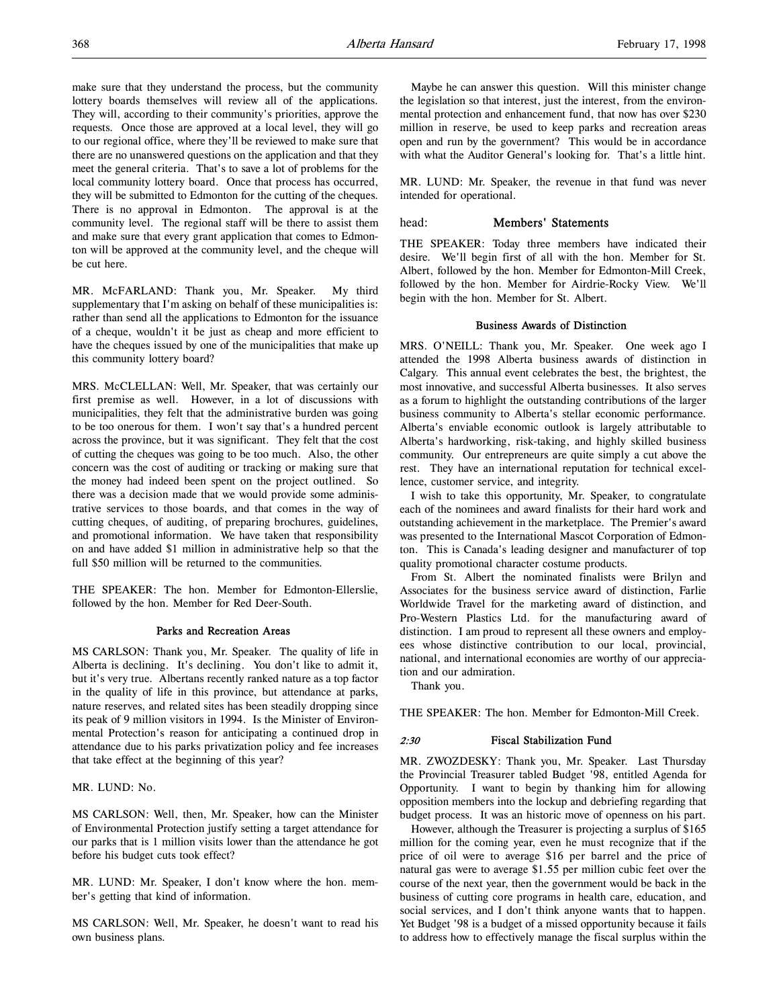make sure that they understand the process, but the community lottery boards themselves will review all of the applications. They will, according to their community's priorities, approve the requests. Once those are approved at a local level, they will go to our regional office, where they'll be reviewed to make sure that there are no unanswered questions on the application and that they meet the general criteria. That's to save a lot of problems for the local community lottery board. Once that process has occurred, they will be submitted to Edmonton for the cutting of the cheques. There is no approval in Edmonton. The approval is at the community level. The regional staff will be there to assist them and make sure that every grant application that comes to Edmonton will be approved at the community level, and the cheque will be cut here.

MR. McFARLAND: Thank you, Mr. Speaker. My third supplementary that I'm asking on behalf of these municipalities is: rather than send all the applications to Edmonton for the issuance of a cheque, wouldn't it be just as cheap and more efficient to have the cheques issued by one of the municipalities that make up this community lottery board?

MRS. McCLELLAN: Well, Mr. Speaker, that was certainly our first premise as well. However, in a lot of discussions with municipalities, they felt that the administrative burden was going to be too onerous for them. I won't say that's a hundred percent across the province, but it was significant. They felt that the cost of cutting the cheques was going to be too much. Also, the other concern was the cost of auditing or tracking or making sure that the money had indeed been spent on the project outlined. So there was a decision made that we would provide some administrative services to those boards, and that comes in the way of cutting cheques, of auditing, of preparing brochures, guidelines, and promotional information. We have taken that responsibility on and have added \$1 million in administrative help so that the full \$50 million will be returned to the communities.

THE SPEAKER: The hon. Member for Edmonton-Ellerslie, followed by the hon. Member for Red Deer-South.

# Parks and Recreation Areas

MS CARLSON: Thank you, Mr. Speaker. The quality of life in Alberta is declining. It's declining. You don't like to admit it, but it's very true. Albertans recently ranked nature as a top factor in the quality of life in this province, but attendance at parks, nature reserves, and related sites has been steadily dropping since its peak of 9 million visitors in 1994. Is the Minister of Environmental Protection's reason for anticipating a continued drop in attendance due to his parks privatization policy and fee increases that take effect at the beginning of this year?

MR. LUND: No.

MS CARLSON: Well, then, Mr. Speaker, how can the Minister of Environmental Protection justify setting a target attendance for our parks that is 1 million visits lower than the attendance he got before his budget cuts took effect?

MR. LUND: Mr. Speaker, I don't know where the hon. member's getting that kind of information.

MS CARLSON: Well, Mr. Speaker, he doesn't want to read his own business plans.

Maybe he can answer this question. Will this minister change the legislation so that interest, just the interest, from the environmental protection and enhancement fund, that now has over \$230 million in reserve, be used to keep parks and recreation areas open and run by the government? This would be in accordance with what the Auditor General's looking for. That's a little hint.

MR. LUND: Mr. Speaker, the revenue in that fund was never intended for operational.

# head: Members' Statements

THE SPEAKER: Today three members have indicated their desire. We'll begin first of all with the hon. Member for St. Albert, followed by the hon. Member for Edmonton-Mill Creek, followed by the hon. Member for Airdrie-Rocky View. We'll begin with the hon. Member for St. Albert.

#### Business Awards of Distinction

MRS. O'NEILL: Thank you, Mr. Speaker. One week ago I attended the 1998 Alberta business awards of distinction in Calgary. This annual event celebrates the best, the brightest, the most innovative, and successful Alberta businesses. It also serves as a forum to highlight the outstanding contributions of the larger business community to Alberta's stellar economic performance. Alberta's enviable economic outlook is largely attributable to Alberta's hardworking, risk-taking, and highly skilled business community. Our entrepreneurs are quite simply a cut above the rest. They have an international reputation for technical excellence, customer service, and integrity.

I wish to take this opportunity, Mr. Speaker, to congratulate each of the nominees and award finalists for their hard work and outstanding achievement in the marketplace. The Premier's award was presented to the International Mascot Corporation of Edmonton. This is Canada's leading designer and manufacturer of top quality promotional character costume products.

From St. Albert the nominated finalists were Brilyn and Associates for the business service award of distinction, Farlie Worldwide Travel for the marketing award of distinction, and Pro-Western Plastics Ltd. for the manufacturing award of distinction. I am proud to represent all these owners and employees whose distinctive contribution to our local, provincial, national, and international economies are worthy of our appreciation and our admiration.

Thank you.

THE SPEAKER: The hon. Member for Edmonton-Mill Creek.

#### 2:30 Fiscal Stabilization Fund

MR. ZWOZDESKY: Thank you, Mr. Speaker. Last Thursday the Provincial Treasurer tabled Budget '98, entitled Agenda for Opportunity. I want to begin by thanking him for allowing opposition members into the lockup and debriefing regarding that budget process. It was an historic move of openness on his part.

However, although the Treasurer is projecting a surplus of \$165 million for the coming year, even he must recognize that if the price of oil were to average \$16 per barrel and the price of natural gas were to average \$1.55 per million cubic feet over the course of the next year, then the government would be back in the business of cutting core programs in health care, education, and social services, and I don't think anyone wants that to happen. Yet Budget '98 is a budget of a missed opportunity because it fails to address how to effectively manage the fiscal surplus within the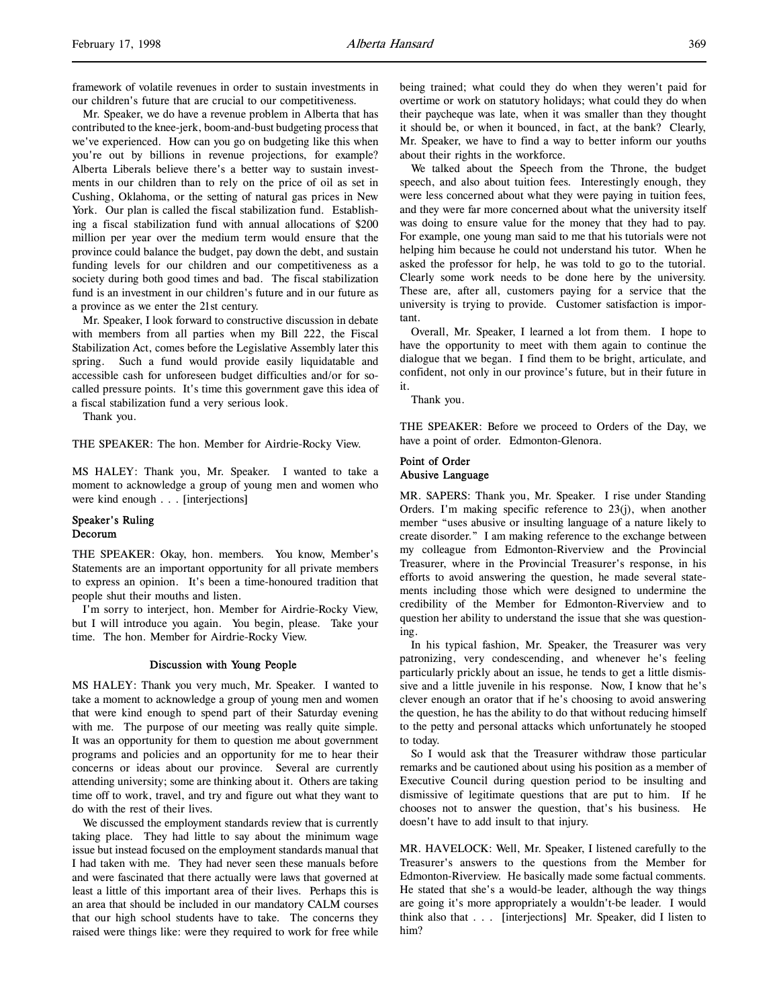framework of volatile revenues in order to sustain investments in our children's future that are crucial to our competitiveness.

Mr. Speaker, we do have a revenue problem in Alberta that has contributed to the knee-jerk, boom-and-bust budgeting process that we've experienced. How can you go on budgeting like this when you're out by billions in revenue projections, for example? Alberta Liberals believe there's a better way to sustain investments in our children than to rely on the price of oil as set in Cushing, Oklahoma, or the setting of natural gas prices in New York. Our plan is called the fiscal stabilization fund. Establishing a fiscal stabilization fund with annual allocations of \$200 million per year over the medium term would ensure that the province could balance the budget, pay down the debt, and sustain funding levels for our children and our competitiveness as a society during both good times and bad. The fiscal stabilization fund is an investment in our children's future and in our future as a province as we enter the 21st century.

Mr. Speaker, I look forward to constructive discussion in debate with members from all parties when my Bill 222, the Fiscal Stabilization Act, comes before the Legislative Assembly later this spring. Such a fund would provide easily liquidatable and accessible cash for unforeseen budget difficulties and/or for socalled pressure points. It's time this government gave this idea of a fiscal stabilization fund a very serious look.

Thank you.

THE SPEAKER: The hon. Member for Airdrie-Rocky View.

MS HALEY: Thank you, Mr. Speaker. I wanted to take a moment to acknowledge a group of young men and women who were kind enough . . . [interjections]

# Speaker's Ruling Decorum

THE SPEAKER: Okay, hon. members. You know, Member's Statements are an important opportunity for all private members to express an opinion. It's been a time-honoured tradition that people shut their mouths and listen.

I'm sorry to interject, hon. Member for Airdrie-Rocky View, but I will introduce you again. You begin, please. Take your time. The hon. Member for Airdrie-Rocky View.

### Discussion with Young People

MS HALEY: Thank you very much, Mr. Speaker. I wanted to take a moment to acknowledge a group of young men and women that were kind enough to spend part of their Saturday evening with me. The purpose of our meeting was really quite simple. It was an opportunity for them to question me about government programs and policies and an opportunity for me to hear their concerns or ideas about our province. Several are currently attending university; some are thinking about it. Others are taking time off to work, travel, and try and figure out what they want to do with the rest of their lives.

We discussed the employment standards review that is currently taking place. They had little to say about the minimum wage issue but instead focused on the employment standards manual that I had taken with me. They had never seen these manuals before and were fascinated that there actually were laws that governed at least a little of this important area of their lives. Perhaps this is an area that should be included in our mandatory CALM courses that our high school students have to take. The concerns they raised were things like: were they required to work for free while

being trained; what could they do when they weren't paid for overtime or work on statutory holidays; what could they do when their paycheque was late, when it was smaller than they thought it should be, or when it bounced, in fact, at the bank? Clearly, Mr. Speaker, we have to find a way to better inform our youths about their rights in the workforce.

We talked about the Speech from the Throne, the budget speech, and also about tuition fees. Interestingly enough, they were less concerned about what they were paying in tuition fees, and they were far more concerned about what the university itself was doing to ensure value for the money that they had to pay. For example, one young man said to me that his tutorials were not helping him because he could not understand his tutor. When he asked the professor for help, he was told to go to the tutorial. Clearly some work needs to be done here by the university. These are, after all, customers paying for a service that the university is trying to provide. Customer satisfaction is important.

Overall, Mr. Speaker, I learned a lot from them. I hope to have the opportunity to meet with them again to continue the dialogue that we began. I find them to be bright, articulate, and confident, not only in our province's future, but in their future in it.

Thank you.

THE SPEAKER: Before we proceed to Orders of the Day, we have a point of order. Edmonton-Glenora.

# Point of Order Abusive Language

MR. SAPERS: Thank you, Mr. Speaker. I rise under Standing Orders. I'm making specific reference to  $23(i)$ , when another member "uses abusive or insulting language of a nature likely to create disorder." I am making reference to the exchange between my colleague from Edmonton-Riverview and the Provincial Treasurer, where in the Provincial Treasurer's response, in his efforts to avoid answering the question, he made several statements including those which were designed to undermine the credibility of the Member for Edmonton-Riverview and to question her ability to understand the issue that she was questioning.

In his typical fashion, Mr. Speaker, the Treasurer was very patronizing, very condescending, and whenever he's feeling particularly prickly about an issue, he tends to get a little dismissive and a little juvenile in his response. Now, I know that he's clever enough an orator that if he's choosing to avoid answering the question, he has the ability to do that without reducing himself to the petty and personal attacks which unfortunately he stooped to today.

So I would ask that the Treasurer withdraw those particular remarks and be cautioned about using his position as a member of Executive Council during question period to be insulting and dismissive of legitimate questions that are put to him. If he chooses not to answer the question, that's his business. He doesn't have to add insult to that injury.

MR. HAVELOCK: Well, Mr. Speaker, I listened carefully to the Treasurer's answers to the questions from the Member for Edmonton-Riverview. He basically made some factual comments. He stated that she's a would-be leader, although the way things are going it's more appropriately a wouldn't-be leader. I would think also that . . . [interjections] Mr. Speaker, did I listen to him?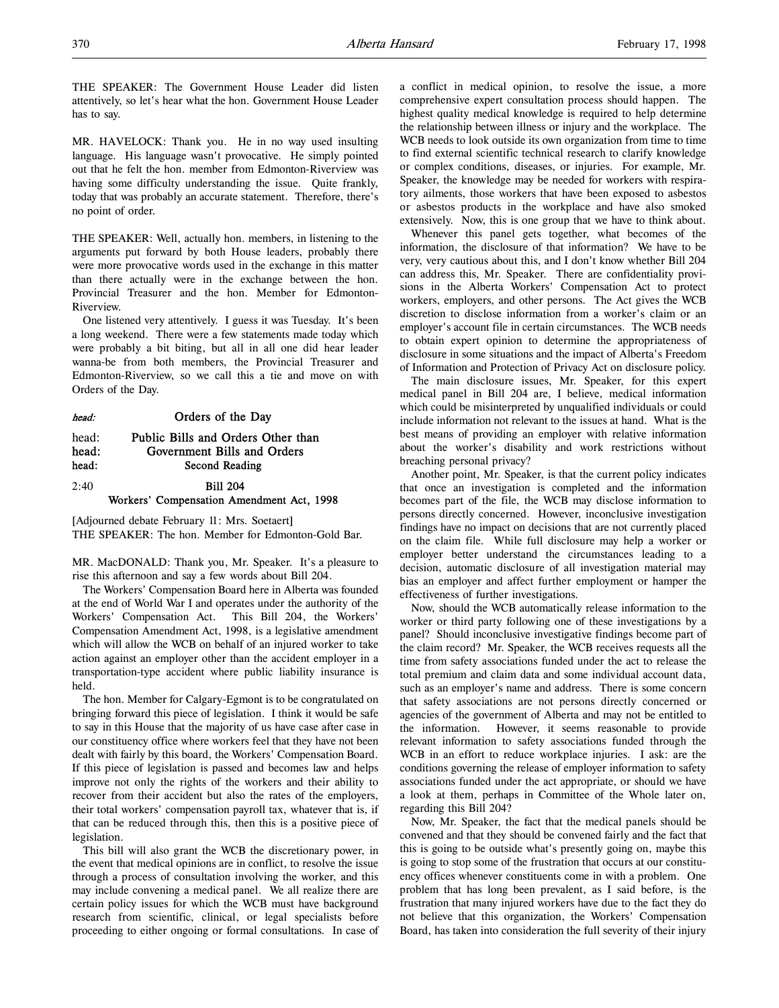THE SPEAKER: The Government House Leader did listen attentively, so let's hear what the hon. Government House Leader has to say.

MR. HAVELOCK: Thank you. He in no way used insulting language. His language wasn't provocative. He simply pointed out that he felt the hon. member from Edmonton-Riverview was having some difficulty understanding the issue. Quite frankly, today that was probably an accurate statement. Therefore, there's no point of order.

THE SPEAKER: Well, actually hon. members, in listening to the arguments put forward by both House leaders, probably there were more provocative words used in the exchange in this matter than there actually were in the exchange between the hon. Provincial Treasurer and the hon. Member for Edmonton-Riverview.

One listened very attentively. I guess it was Tuesday. It's been a long weekend. There were a few statements made today which were probably a bit biting, but all in all one did hear leader wanna-be from both members, the Provincial Treasurer and Edmonton-Riverview, so we call this a tie and move on with Orders of the Day.

| head:                   | Orders of the Day                                                                   |  |  |  |
|-------------------------|-------------------------------------------------------------------------------------|--|--|--|
| head:<br>head:<br>head: | Public Bills and Orders Other than<br>Government Bills and Orders<br>Second Reading |  |  |  |
| 2:40                    | <b>Bill 204</b><br>Workers' Compensation Amendment Act, 1998                        |  |  |  |
|                         |                                                                                     |  |  |  |

[Adjourned debate February 11: Mrs. Soetaert] THE SPEAKER: The hon. Member for Edmonton-Gold Bar.

MR. MacDONALD: Thank you, Mr. Speaker. It's a pleasure to rise this afternoon and say a few words about Bill 204.

The Workers' Compensation Board here in Alberta was founded at the end of World War I and operates under the authority of the Workers' Compensation Act. This Bill 204, the Workers' Compensation Amendment Act, 1998, is a legislative amendment which will allow the WCB on behalf of an injured worker to take action against an employer other than the accident employer in a transportation-type accident where public liability insurance is held.

The hon. Member for Calgary-Egmont is to be congratulated on bringing forward this piece of legislation. I think it would be safe to say in this House that the majority of us have case after case in our constituency office where workers feel that they have not been dealt with fairly by this board, the Workers' Compensation Board. If this piece of legislation is passed and becomes law and helps improve not only the rights of the workers and their ability to recover from their accident but also the rates of the employers, their total workers' compensation payroll tax, whatever that is, if that can be reduced through this, then this is a positive piece of legislation.

This bill will also grant the WCB the discretionary power, in the event that medical opinions are in conflict, to resolve the issue through a process of consultation involving the worker, and this may include convening a medical panel. We all realize there are certain policy issues for which the WCB must have background research from scientific, clinical, or legal specialists before proceeding to either ongoing or formal consultations. In case of a conflict in medical opinion, to resolve the issue, a more comprehensive expert consultation process should happen. The highest quality medical knowledge is required to help determine the relationship between illness or injury and the workplace. The WCB needs to look outside its own organization from time to time to find external scientific technical research to clarify knowledge or complex conditions, diseases, or injuries. For example, Mr. Speaker, the knowledge may be needed for workers with respiratory ailments, those workers that have been exposed to asbestos or asbestos products in the workplace and have also smoked extensively. Now, this is one group that we have to think about.

Whenever this panel gets together, what becomes of the information, the disclosure of that information? We have to be very, very cautious about this, and I don't know whether Bill 204 can address this, Mr. Speaker. There are confidentiality provisions in the Alberta Workers' Compensation Act to protect workers, employers, and other persons. The Act gives the WCB discretion to disclose information from a worker's claim or an employer's account file in certain circumstances. The WCB needs to obtain expert opinion to determine the appropriateness of disclosure in some situations and the impact of Alberta's Freedom of Information and Protection of Privacy Act on disclosure policy.

The main disclosure issues, Mr. Speaker, for this expert medical panel in Bill 204 are, I believe, medical information which could be misinterpreted by unqualified individuals or could include information not relevant to the issues at hand. What is the best means of providing an employer with relative information about the worker's disability and work restrictions without breaching personal privacy?

Another point, Mr. Speaker, is that the current policy indicates that once an investigation is completed and the information becomes part of the file, the WCB may disclose information to persons directly concerned. However, inconclusive investigation findings have no impact on decisions that are not currently placed on the claim file. While full disclosure may help a worker or employer better understand the circumstances leading to a decision, automatic disclosure of all investigation material may bias an employer and affect further employment or hamper the effectiveness of further investigations.

Now, should the WCB automatically release information to the worker or third party following one of these investigations by a panel? Should inconclusive investigative findings become part of the claim record? Mr. Speaker, the WCB receives requests all the time from safety associations funded under the act to release the total premium and claim data and some individual account data, such as an employer's name and address. There is some concern that safety associations are not persons directly concerned or agencies of the government of Alberta and may not be entitled to the information. However, it seems reasonable to provide relevant information to safety associations funded through the WCB in an effort to reduce workplace injuries. I ask: are the conditions governing the release of employer information to safety associations funded under the act appropriate, or should we have a look at them, perhaps in Committee of the Whole later on, regarding this Bill 204?

Now, Mr. Speaker, the fact that the medical panels should be convened and that they should be convened fairly and the fact that this is going to be outside what's presently going on, maybe this is going to stop some of the frustration that occurs at our constituency offices whenever constituents come in with a problem. One problem that has long been prevalent, as I said before, is the frustration that many injured workers have due to the fact they do not believe that this organization, the Workers' Compensation Board, has taken into consideration the full severity of their injury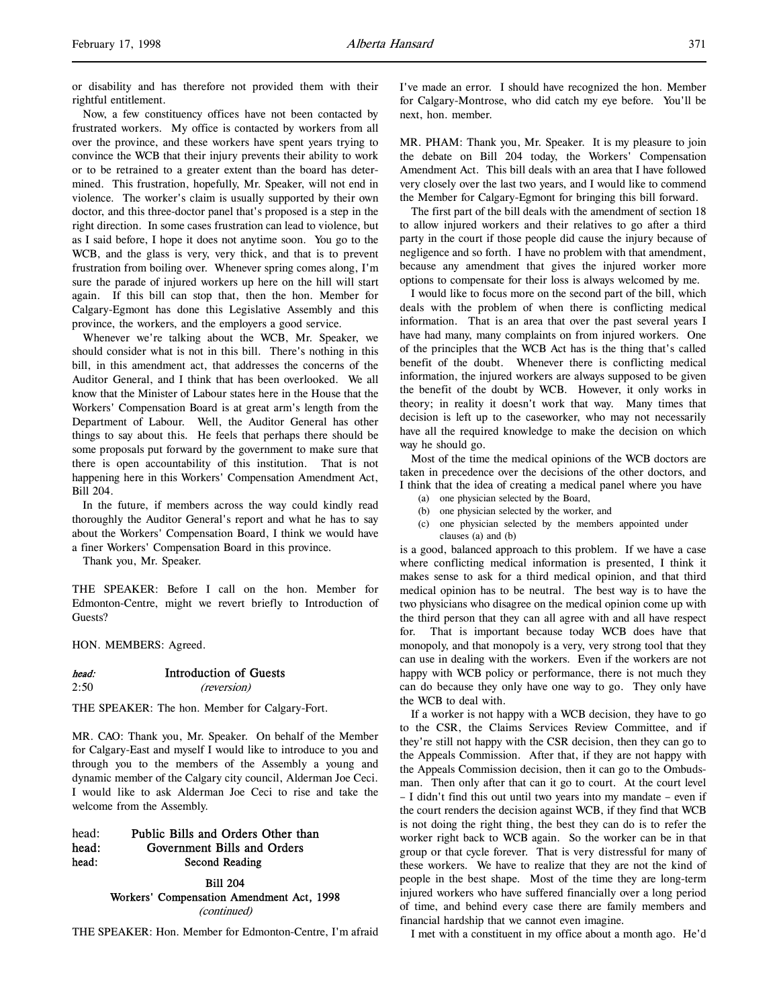or disability and has therefore not provided them with their rightful entitlement.

Now, a few constituency offices have not been contacted by frustrated workers. My office is contacted by workers from all over the province, and these workers have spent years trying to convince the WCB that their injury prevents their ability to work or to be retrained to a greater extent than the board has determined. This frustration, hopefully, Mr. Speaker, will not end in violence. The worker's claim is usually supported by their own doctor, and this three-doctor panel that's proposed is a step in the right direction. In some cases frustration can lead to violence, but as I said before, I hope it does not anytime soon. You go to the WCB, and the glass is very, very thick, and that is to prevent frustration from boiling over. Whenever spring comes along, I'm sure the parade of injured workers up here on the hill will start again. If this bill can stop that, then the hon. Member for Calgary-Egmont has done this Legislative Assembly and this province, the workers, and the employers a good service.

Whenever we're talking about the WCB, Mr. Speaker, we should consider what is not in this bill. There's nothing in this bill, in this amendment act, that addresses the concerns of the Auditor General, and I think that has been overlooked. We all know that the Minister of Labour states here in the House that the Workers' Compensation Board is at great arm's length from the Department of Labour. Well, the Auditor General has other things to say about this. He feels that perhaps there should be some proposals put forward by the government to make sure that there is open accountability of this institution. That is not happening here in this Workers' Compensation Amendment Act, Bill 204.

In the future, if members across the way could kindly read thoroughly the Auditor General's report and what he has to say about the Workers' Compensation Board, I think we would have a finer Workers' Compensation Board in this province.

Thank you, Mr. Speaker.

THE SPEAKER: Before I call on the hon. Member for Edmonton-Centre, might we revert briefly to Introduction of Guests?

HON. MEMBERS: Agreed.

# head: Introduction of Guests 2:50 (reversion)

THE SPEAKER: The hon. Member for Calgary-Fort.

MR. CAO: Thank you, Mr. Speaker. On behalf of the Member for Calgary-East and myself I would like to introduce to you and through you to the members of the Assembly a young and dynamic member of the Calgary city council, Alderman Joe Ceci. I would like to ask Alderman Joe Ceci to rise and take the welcome from the Assembly.

# head: Public Bills and Orders Other than head: Government Bills and Orders head: Second Reading

Bill 204 Workers' Compensation Amendment Act, 1998 (continued)

THE SPEAKER: Hon. Member for Edmonton-Centre, I'm afraid

I've made an error. I should have recognized the hon. Member for Calgary-Montrose, who did catch my eye before. You'll be next, hon. member.

MR. PHAM: Thank you, Mr. Speaker. It is my pleasure to join the debate on Bill 204 today, the Workers' Compensation Amendment Act. This bill deals with an area that I have followed very closely over the last two years, and I would like to commend the Member for Calgary-Egmont for bringing this bill forward.

The first part of the bill deals with the amendment of section 18 to allow injured workers and their relatives to go after a third party in the court if those people did cause the injury because of negligence and so forth. I have no problem with that amendment, because any amendment that gives the injured worker more options to compensate for their loss is always welcomed by me.

I would like to focus more on the second part of the bill, which deals with the problem of when there is conflicting medical information. That is an area that over the past several years I have had many, many complaints on from injured workers. One of the principles that the WCB Act has is the thing that's called benefit of the doubt. Whenever there is conflicting medical information, the injured workers are always supposed to be given the benefit of the doubt by WCB. However, it only works in theory; in reality it doesn't work that way. Many times that decision is left up to the caseworker, who may not necessarily have all the required knowledge to make the decision on which way he should go.

Most of the time the medical opinions of the WCB doctors are taken in precedence over the decisions of the other doctors, and I think that the idea of creating a medical panel where you have

- (a) one physician selected by the Board,
- (b) one physician selected by the worker, and
- (c) one physician selected by the members appointed under clauses (a) and (b)

is a good, balanced approach to this problem. If we have a case where conflicting medical information is presented, I think it makes sense to ask for a third medical opinion, and that third medical opinion has to be neutral. The best way is to have the two physicians who disagree on the medical opinion come up with the third person that they can all agree with and all have respect for. That is important because today WCB does have that monopoly, and that monopoly is a very, very strong tool that they can use in dealing with the workers. Even if the workers are not happy with WCB policy or performance, there is not much they can do because they only have one way to go. They only have the WCB to deal with.

If a worker is not happy with a WCB decision, they have to go to the CSR, the Claims Services Review Committee, and if they're still not happy with the CSR decision, then they can go to the Appeals Commission. After that, if they are not happy with the Appeals Commission decision, then it can go to the Ombudsman. Then only after that can it go to court. At the court level – I didn't find this out until two years into my mandate – even if the court renders the decision against WCB, if they find that WCB is not doing the right thing, the best they can do is to refer the worker right back to WCB again. So the worker can be in that group or that cycle forever. That is very distressful for many of these workers. We have to realize that they are not the kind of people in the best shape. Most of the time they are long-term injured workers who have suffered financially over a long period of time, and behind every case there are family members and financial hardship that we cannot even imagine.

I met with a constituent in my office about a month ago. He'd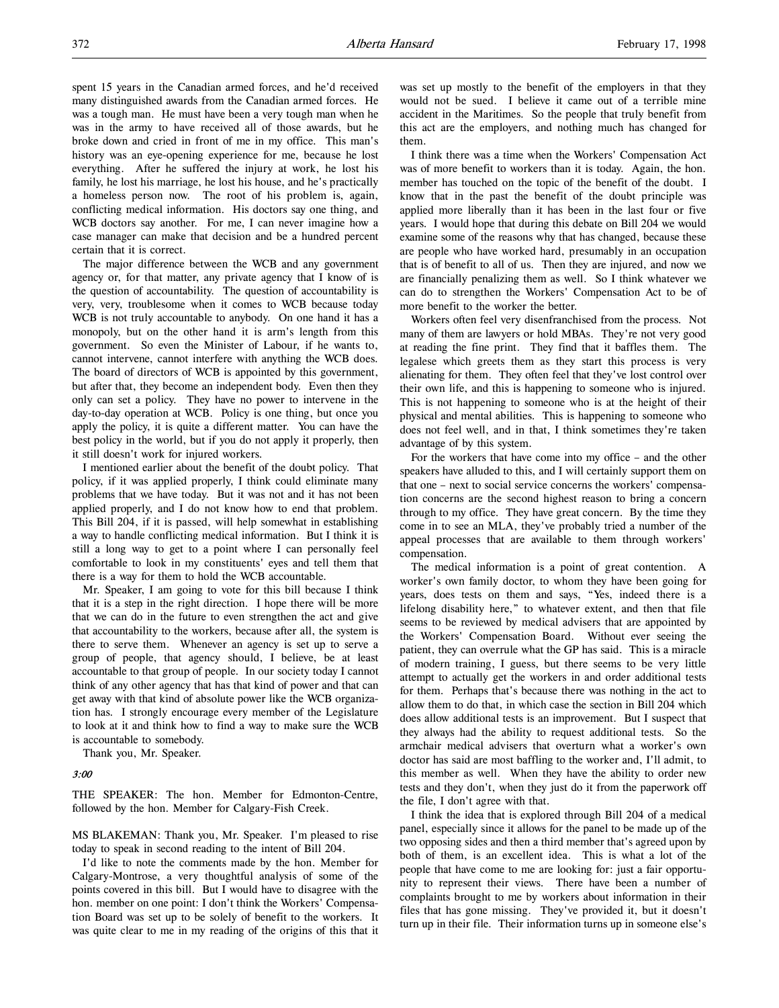spent 15 years in the Canadian armed forces, and he'd received many distinguished awards from the Canadian armed forces. He was a tough man. He must have been a very tough man when he was in the army to have received all of those awards, but he broke down and cried in front of me in my office. This man's history was an eye-opening experience for me, because he lost everything. After he suffered the injury at work, he lost his family, he lost his marriage, he lost his house, and he's practically a homeless person now. The root of his problem is, again, conflicting medical information. His doctors say one thing, and WCB doctors say another. For me, I can never imagine how a case manager can make that decision and be a hundred percent certain that it is correct.

The major difference between the WCB and any government agency or, for that matter, any private agency that I know of is the question of accountability. The question of accountability is very, very, troublesome when it comes to WCB because today WCB is not truly accountable to anybody. On one hand it has a monopoly, but on the other hand it is arm's length from this government. So even the Minister of Labour, if he wants to, cannot intervene, cannot interfere with anything the WCB does. The board of directors of WCB is appointed by this government, but after that, they become an independent body. Even then they only can set a policy. They have no power to intervene in the day-to-day operation at WCB. Policy is one thing, but once you apply the policy, it is quite a different matter. You can have the best policy in the world, but if you do not apply it properly, then it still doesn't work for injured workers.

I mentioned earlier about the benefit of the doubt policy. That policy, if it was applied properly, I think could eliminate many problems that we have today. But it was not and it has not been applied properly, and I do not know how to end that problem. This Bill 204, if it is passed, will help somewhat in establishing a way to handle conflicting medical information. But I think it is still a long way to get to a point where I can personally feel comfortable to look in my constituents' eyes and tell them that there is a way for them to hold the WCB accountable.

Mr. Speaker, I am going to vote for this bill because I think that it is a step in the right direction. I hope there will be more that we can do in the future to even strengthen the act and give that accountability to the workers, because after all, the system is there to serve them. Whenever an agency is set up to serve a group of people, that agency should, I believe, be at least accountable to that group of people. In our society today I cannot think of any other agency that has that kind of power and that can get away with that kind of absolute power like the WCB organization has. I strongly encourage every member of the Legislature to look at it and think how to find a way to make sure the WCB is accountable to somebody.

Thank you, Mr. Speaker.

#### 3:00

THE SPEAKER: The hon. Member for Edmonton-Centre, followed by the hon. Member for Calgary-Fish Creek.

MS BLAKEMAN: Thank you, Mr. Speaker. I'm pleased to rise today to speak in second reading to the intent of Bill 204.

I'd like to note the comments made by the hon. Member for Calgary-Montrose, a very thoughtful analysis of some of the points covered in this bill. But I would have to disagree with the hon. member on one point: I don't think the Workers' Compensation Board was set up to be solely of benefit to the workers. It was quite clear to me in my reading of the origins of this that it

was set up mostly to the benefit of the employers in that they would not be sued. I believe it came out of a terrible mine accident in the Maritimes. So the people that truly benefit from this act are the employers, and nothing much has changed for them.

I think there was a time when the Workers' Compensation Act was of more benefit to workers than it is today. Again, the hon. member has touched on the topic of the benefit of the doubt. I know that in the past the benefit of the doubt principle was applied more liberally than it has been in the last four or five years. I would hope that during this debate on Bill 204 we would examine some of the reasons why that has changed, because these are people who have worked hard, presumably in an occupation that is of benefit to all of us. Then they are injured, and now we are financially penalizing them as well. So I think whatever we can do to strengthen the Workers' Compensation Act to be of more benefit to the worker the better.

Workers often feel very disenfranchised from the process. Not many of them are lawyers or hold MBAs. They're not very good at reading the fine print. They find that it baffles them. The legalese which greets them as they start this process is very alienating for them. They often feel that they've lost control over their own life, and this is happening to someone who is injured. This is not happening to someone who is at the height of their physical and mental abilities. This is happening to someone who does not feel well, and in that, I think sometimes they're taken advantage of by this system.

For the workers that have come into my office – and the other speakers have alluded to this, and I will certainly support them on that one – next to social service concerns the workers' compensation concerns are the second highest reason to bring a concern through to my office. They have great concern. By the time they come in to see an MLA, they've probably tried a number of the appeal processes that are available to them through workers' compensation.

The medical information is a point of great contention. A worker's own family doctor, to whom they have been going for years, does tests on them and says, "Yes, indeed there is a lifelong disability here," to whatever extent, and then that file seems to be reviewed by medical advisers that are appointed by the Workers' Compensation Board. Without ever seeing the patient, they can overrule what the GP has said. This is a miracle of modern training, I guess, but there seems to be very little attempt to actually get the workers in and order additional tests for them. Perhaps that's because there was nothing in the act to allow them to do that, in which case the section in Bill 204 which does allow additional tests is an improvement. But I suspect that they always had the ability to request additional tests. So the armchair medical advisers that overturn what a worker's own doctor has said are most baffling to the worker and, I'll admit, to this member as well. When they have the ability to order new tests and they don't, when they just do it from the paperwork off the file, I don't agree with that.

I think the idea that is explored through Bill 204 of a medical panel, especially since it allows for the panel to be made up of the two opposing sides and then a third member that's agreed upon by both of them, is an excellent idea. This is what a lot of the people that have come to me are looking for: just a fair opportunity to represent their views. There have been a number of complaints brought to me by workers about information in their files that has gone missing. They've provided it, but it doesn't turn up in their file. Their information turns up in someone else's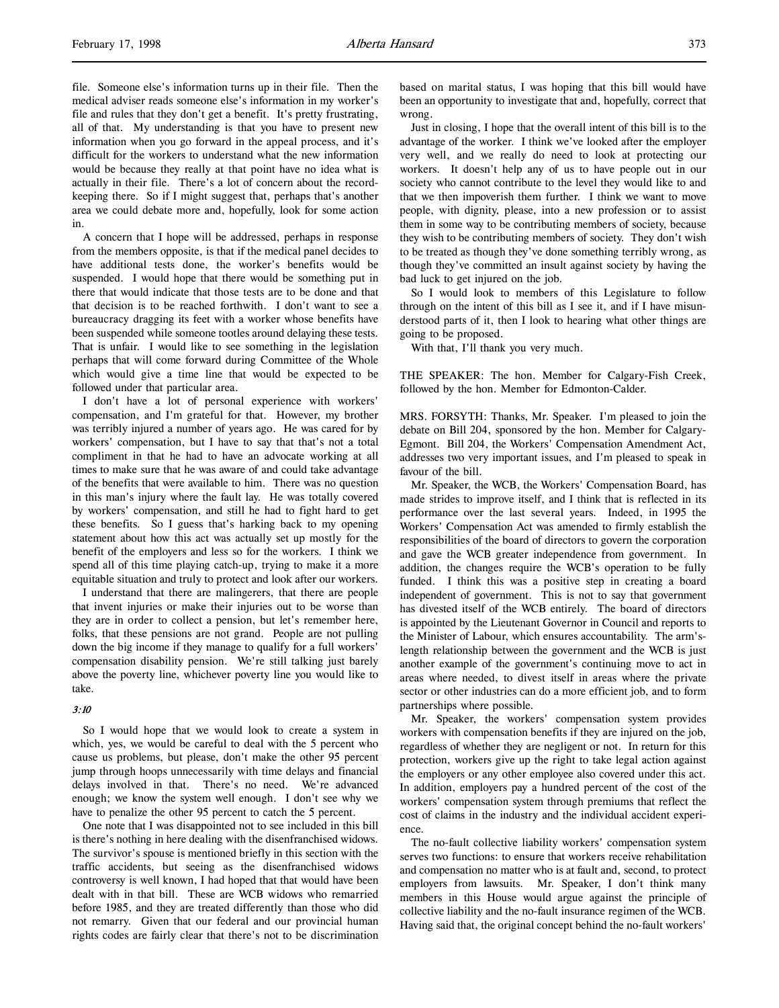file. Someone else's information turns up in their file. Then the medical adviser reads someone else's information in my worker's file and rules that they don't get a benefit. It's pretty frustrating, all of that. My understanding is that you have to present new information when you go forward in the appeal process, and it's difficult for the workers to understand what the new information would be because they really at that point have no idea what is actually in their file. There's a lot of concern about the recordkeeping there. So if I might suggest that, perhaps that's another area we could debate more and, hopefully, look for some action in.

A concern that I hope will be addressed, perhaps in response from the members opposite, is that if the medical panel decides to have additional tests done, the worker's benefits would be suspended. I would hope that there would be something put in there that would indicate that those tests are to be done and that that decision is to be reached forthwith. I don't want to see a bureaucracy dragging its feet with a worker whose benefits have been suspended while someone tootles around delaying these tests. That is unfair. I would like to see something in the legislation perhaps that will come forward during Committee of the Whole which would give a time line that would be expected to be followed under that particular area.

I don't have a lot of personal experience with workers' compensation, and I'm grateful for that. However, my brother was terribly injured a number of years ago. He was cared for by workers' compensation, but I have to say that that's not a total compliment in that he had to have an advocate working at all times to make sure that he was aware of and could take advantage of the benefits that were available to him. There was no question in this man's injury where the fault lay. He was totally covered by workers' compensation, and still he had to fight hard to get these benefits. So I guess that's harking back to my opening statement about how this act was actually set up mostly for the benefit of the employers and less so for the workers. I think we spend all of this time playing catch-up, trying to make it a more equitable situation and truly to protect and look after our workers.

I understand that there are malingerers, that there are people that invent injuries or make their injuries out to be worse than they are in order to collect a pension, but let's remember here, folks, that these pensions are not grand. People are not pulling down the big income if they manage to qualify for a full workers' compensation disability pension. We're still talking just barely above the poverty line, whichever poverty line you would like to take.

#### 3:10

So I would hope that we would look to create a system in which, yes, we would be careful to deal with the 5 percent who cause us problems, but please, don't make the other 95 percent jump through hoops unnecessarily with time delays and financial delays involved in that. There's no need. We're advanced enough; we know the system well enough. I don't see why we have to penalize the other 95 percent to catch the 5 percent.

One note that I was disappointed not to see included in this bill is there's nothing in here dealing with the disenfranchised widows. The survivor's spouse is mentioned briefly in this section with the traffic accidents, but seeing as the disenfranchised widows controversy is well known, I had hoped that that would have been dealt with in that bill. These are WCB widows who remarried before 1985, and they are treated differently than those who did not remarry. Given that our federal and our provincial human rights codes are fairly clear that there's not to be discrimination

based on marital status, I was hoping that this bill would have been an opportunity to investigate that and, hopefully, correct that wrong.

Just in closing, I hope that the overall intent of this bill is to the advantage of the worker. I think we've looked after the employer very well, and we really do need to look at protecting our workers. It doesn't help any of us to have people out in our society who cannot contribute to the level they would like to and that we then impoverish them further. I think we want to move people, with dignity, please, into a new profession or to assist them in some way to be contributing members of society, because they wish to be contributing members of society. They don't wish to be treated as though they've done something terribly wrong, as though they've committed an insult against society by having the bad luck to get injured on the job.

So I would look to members of this Legislature to follow through on the intent of this bill as I see it, and if I have misunderstood parts of it, then I look to hearing what other things are going to be proposed.

With that, I'll thank you very much.

THE SPEAKER: The hon. Member for Calgary-Fish Creek, followed by the hon. Member for Edmonton-Calder.

MRS. FORSYTH: Thanks, Mr. Speaker. I'm pleased to join the debate on Bill 204, sponsored by the hon. Member for Calgary-Egmont. Bill 204, the Workers' Compensation Amendment Act, addresses two very important issues, and I'm pleased to speak in favour of the bill.

Mr. Speaker, the WCB, the Workers' Compensation Board, has made strides to improve itself, and I think that is reflected in its performance over the last several years. Indeed, in 1995 the Workers' Compensation Act was amended to firmly establish the responsibilities of the board of directors to govern the corporation and gave the WCB greater independence from government. In addition, the changes require the WCB's operation to be fully funded. I think this was a positive step in creating a board independent of government. This is not to say that government has divested itself of the WCB entirely. The board of directors is appointed by the Lieutenant Governor in Council and reports to the Minister of Labour, which ensures accountability. The arm'slength relationship between the government and the WCB is just another example of the government's continuing move to act in areas where needed, to divest itself in areas where the private sector or other industries can do a more efficient job, and to form partnerships where possible.

Mr. Speaker, the workers' compensation system provides workers with compensation benefits if they are injured on the job, regardless of whether they are negligent or not. In return for this protection, workers give up the right to take legal action against the employers or any other employee also covered under this act. In addition, employers pay a hundred percent of the cost of the workers' compensation system through premiums that reflect the cost of claims in the industry and the individual accident experience.

The no-fault collective liability workers' compensation system serves two functions: to ensure that workers receive rehabilitation and compensation no matter who is at fault and, second, to protect employers from lawsuits. Mr. Speaker, I don't think many members in this House would argue against the principle of collective liability and the no-fault insurance regimen of the WCB. Having said that, the original concept behind the no-fault workers'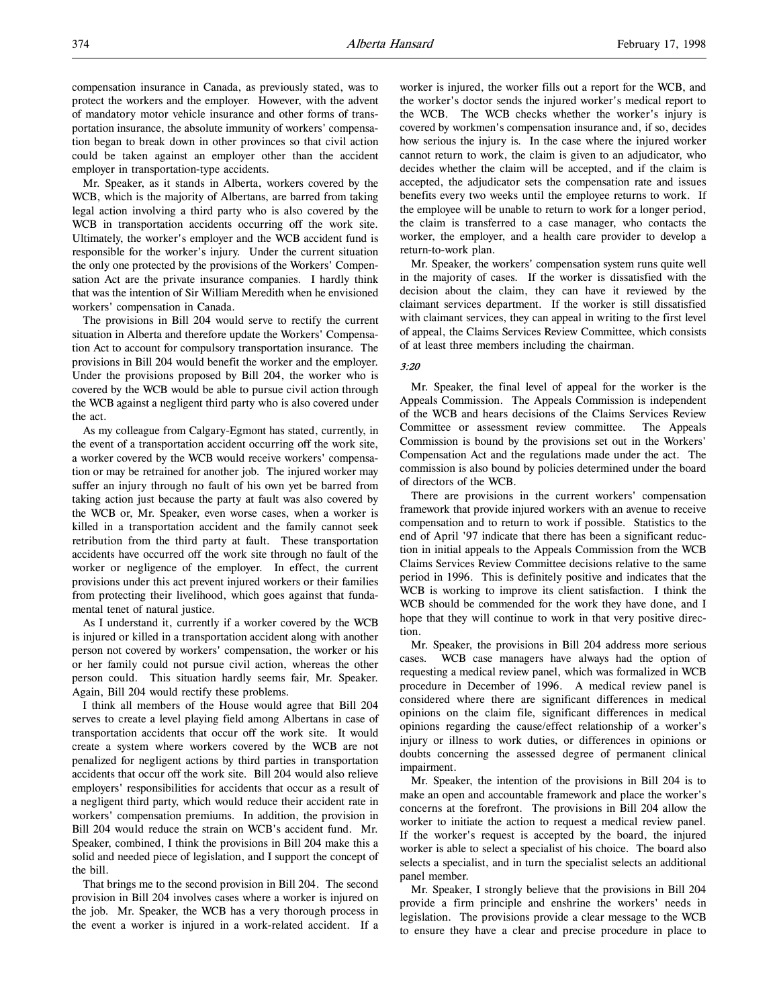Mr. Speaker, as it stands in Alberta, workers covered by the WCB, which is the majority of Albertans, are barred from taking legal action involving a third party who is also covered by the WCB in transportation accidents occurring off the work site. Ultimately, the worker's employer and the WCB accident fund is responsible for the worker's injury. Under the current situation the only one protected by the provisions of the Workers' Compensation Act are the private insurance companies. I hardly think that was the intention of Sir William Meredith when he envisioned workers' compensation in Canada.

The provisions in Bill 204 would serve to rectify the current situation in Alberta and therefore update the Workers' Compensation Act to account for compulsory transportation insurance. The provisions in Bill 204 would benefit the worker and the employer. Under the provisions proposed by Bill 204, the worker who is covered by the WCB would be able to pursue civil action through the WCB against a negligent third party who is also covered under the act.

As my colleague from Calgary-Egmont has stated, currently, in the event of a transportation accident occurring off the work site, a worker covered by the WCB would receive workers' compensation or may be retrained for another job. The injured worker may suffer an injury through no fault of his own yet be barred from taking action just because the party at fault was also covered by the WCB or, Mr. Speaker, even worse cases, when a worker is killed in a transportation accident and the family cannot seek retribution from the third party at fault. These transportation accidents have occurred off the work site through no fault of the worker or negligence of the employer. In effect, the current provisions under this act prevent injured workers or their families from protecting their livelihood, which goes against that fundamental tenet of natural justice.

As I understand it, currently if a worker covered by the WCB is injured or killed in a transportation accident along with another person not covered by workers' compensation, the worker or his or her family could not pursue civil action, whereas the other person could. This situation hardly seems fair, Mr. Speaker. Again, Bill 204 would rectify these problems.

I think all members of the House would agree that Bill 204 serves to create a level playing field among Albertans in case of transportation accidents that occur off the work site. It would create a system where workers covered by the WCB are not penalized for negligent actions by third parties in transportation accidents that occur off the work site. Bill 204 would also relieve employers' responsibilities for accidents that occur as a result of a negligent third party, which would reduce their accident rate in workers' compensation premiums. In addition, the provision in Bill 204 would reduce the strain on WCB's accident fund. Mr. Speaker, combined, I think the provisions in Bill 204 make this a solid and needed piece of legislation, and I support the concept of the bill.

That brings me to the second provision in Bill 204. The second provision in Bill 204 involves cases where a worker is injured on the job. Mr. Speaker, the WCB has a very thorough process in the event a worker is injured in a work-related accident. If a

worker is injured, the worker fills out a report for the WCB, and the worker's doctor sends the injured worker's medical report to the WCB. The WCB checks whether the worker's injury is covered by workmen's compensation insurance and, if so, decides how serious the injury is. In the case where the injured worker cannot return to work, the claim is given to an adjudicator, who decides whether the claim will be accepted, and if the claim is accepted, the adjudicator sets the compensation rate and issues benefits every two weeks until the employee returns to work. If the employee will be unable to return to work for a longer period, the claim is transferred to a case manager, who contacts the worker, the employer, and a health care provider to develop a return-to-work plan.

Mr. Speaker, the workers' compensation system runs quite well in the majority of cases. If the worker is dissatisfied with the decision about the claim, they can have it reviewed by the claimant services department. If the worker is still dissatisfied with claimant services, they can appeal in writing to the first level of appeal, the Claims Services Review Committee, which consists of at least three members including the chairman.

#### 3:20

Mr. Speaker, the final level of appeal for the worker is the Appeals Commission. The Appeals Commission is independent of the WCB and hears decisions of the Claims Services Review Committee or assessment review committee. The Appeals Commission is bound by the provisions set out in the Workers' Compensation Act and the regulations made under the act. The commission is also bound by policies determined under the board of directors of the WCB.

There are provisions in the current workers' compensation framework that provide injured workers with an avenue to receive compensation and to return to work if possible. Statistics to the end of April '97 indicate that there has been a significant reduction in initial appeals to the Appeals Commission from the WCB Claims Services Review Committee decisions relative to the same period in 1996. This is definitely positive and indicates that the WCB is working to improve its client satisfaction. I think the WCB should be commended for the work they have done, and I hope that they will continue to work in that very positive direction.

Mr. Speaker, the provisions in Bill 204 address more serious cases. WCB case managers have always had the option of requesting a medical review panel, which was formalized in WCB procedure in December of 1996. A medical review panel is considered where there are significant differences in medical opinions on the claim file, significant differences in medical opinions regarding the cause/effect relationship of a worker's injury or illness to work duties, or differences in opinions or doubts concerning the assessed degree of permanent clinical impairment.

Mr. Speaker, the intention of the provisions in Bill 204 is to make an open and accountable framework and place the worker's concerns at the forefront. The provisions in Bill 204 allow the worker to initiate the action to request a medical review panel. If the worker's request is accepted by the board, the injured worker is able to select a specialist of his choice. The board also selects a specialist, and in turn the specialist selects an additional panel member.

Mr. Speaker, I strongly believe that the provisions in Bill 204 provide a firm principle and enshrine the workers' needs in legislation. The provisions provide a clear message to the WCB to ensure they have a clear and precise procedure in place to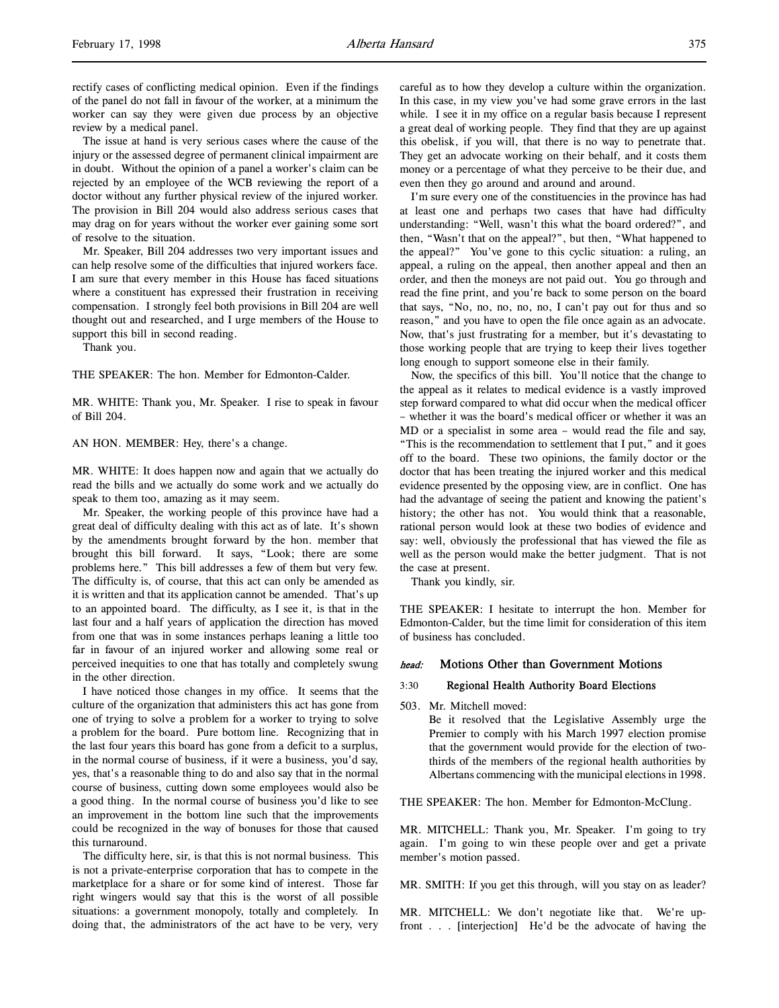rectify cases of conflicting medical opinion. Even if the findings of the panel do not fall in favour of the worker, at a minimum the worker can say they were given due process by an objective review by a medical panel.

The issue at hand is very serious cases where the cause of the injury or the assessed degree of permanent clinical impairment are in doubt. Without the opinion of a panel a worker's claim can be rejected by an employee of the WCB reviewing the report of a doctor without any further physical review of the injured worker. The provision in Bill 204 would also address serious cases that may drag on for years without the worker ever gaining some sort of resolve to the situation.

Mr. Speaker, Bill 204 addresses two very important issues and can help resolve some of the difficulties that injured workers face. I am sure that every member in this House has faced situations where a constituent has expressed their frustration in receiving compensation. I strongly feel both provisions in Bill 204 are well thought out and researched, and I urge members of the House to support this bill in second reading.

Thank you.

THE SPEAKER: The hon. Member for Edmonton-Calder.

MR. WHITE: Thank you, Mr. Speaker. I rise to speak in favour of Bill 204.

AN HON. MEMBER: Hey, there's a change.

MR. WHITE: It does happen now and again that we actually do read the bills and we actually do some work and we actually do speak to them too, amazing as it may seem.

Mr. Speaker, the working people of this province have had a great deal of difficulty dealing with this act as of late. It's shown by the amendments brought forward by the hon. member that brought this bill forward. It says, "Look; there are some problems here." This bill addresses a few of them but very few. The difficulty is, of course, that this act can only be amended as it is written and that its application cannot be amended. That's up to an appointed board. The difficulty, as I see it, is that in the last four and a half years of application the direction has moved from one that was in some instances perhaps leaning a little too far in favour of an injured worker and allowing some real or perceived inequities to one that has totally and completely swung in the other direction.

I have noticed those changes in my office. It seems that the culture of the organization that administers this act has gone from one of trying to solve a problem for a worker to trying to solve a problem for the board. Pure bottom line. Recognizing that in the last four years this board has gone from a deficit to a surplus, in the normal course of business, if it were a business, you'd say, yes, that's a reasonable thing to do and also say that in the normal course of business, cutting down some employees would also be a good thing. In the normal course of business you'd like to see an improvement in the bottom line such that the improvements could be recognized in the way of bonuses for those that caused this turnaround.

The difficulty here, sir, is that this is not normal business. This is not a private-enterprise corporation that has to compete in the marketplace for a share or for some kind of interest. Those far right wingers would say that this is the worst of all possible situations: a government monopoly, totally and completely. In doing that, the administrators of the act have to be very, very

careful as to how they develop a culture within the organization. In this case, in my view you've had some grave errors in the last while. I see it in my office on a regular basis because I represent a great deal of working people. They find that they are up against this obelisk, if you will, that there is no way to penetrate that. They get an advocate working on their behalf, and it costs them money or a percentage of what they perceive to be their due, and even then they go around and around and around.

I'm sure every one of the constituencies in the province has had at least one and perhaps two cases that have had difficulty understanding: "Well, wasn't this what the board ordered?", and then, "Wasn't that on the appeal?", but then, "What happened to the appeal?" You've gone to this cyclic situation: a ruling, an appeal, a ruling on the appeal, then another appeal and then an order, and then the moneys are not paid out. You go through and read the fine print, and you're back to some person on the board that says, "No, no, no, no, no, I can't pay out for thus and so reason," and you have to open the file once again as an advocate. Now, that's just frustrating for a member, but it's devastating to those working people that are trying to keep their lives together long enough to support someone else in their family.

Now, the specifics of this bill. You'll notice that the change to the appeal as it relates to medical evidence is a vastly improved step forward compared to what did occur when the medical officer – whether it was the board's medical officer or whether it was an MD or a specialist in some area – would read the file and say, "This is the recommendation to settlement that I put," and it goes off to the board. These two opinions, the family doctor or the doctor that has been treating the injured worker and this medical evidence presented by the opposing view, are in conflict. One has had the advantage of seeing the patient and knowing the patient's history; the other has not. You would think that a reasonable, rational person would look at these two bodies of evidence and say: well, obviously the professional that has viewed the file as well as the person would make the better judgment. That is not the case at present.

Thank you kindly, sir.

THE SPEAKER: I hesitate to interrupt the hon. Member for Edmonton-Calder, but the time limit for consideration of this item of business has concluded.

# head: Motions Other than Government Motions

# 3:30 Regional Health Authority Board Elections

503. Mr. Mitchell moved:

Be it resolved that the Legislative Assembly urge the Premier to comply with his March 1997 election promise that the government would provide for the election of twothirds of the members of the regional health authorities by Albertans commencing with the municipal elections in 1998.

THE SPEAKER: The hon. Member for Edmonton-McClung.

MR. MITCHELL: Thank you, Mr. Speaker. I'm going to try again. I'm going to win these people over and get a private member's motion passed.

MR. SMITH: If you get this through, will you stay on as leader?

MR. MITCHELL: We don't negotiate like that. We're upfront . . . [interjection] He'd be the advocate of having the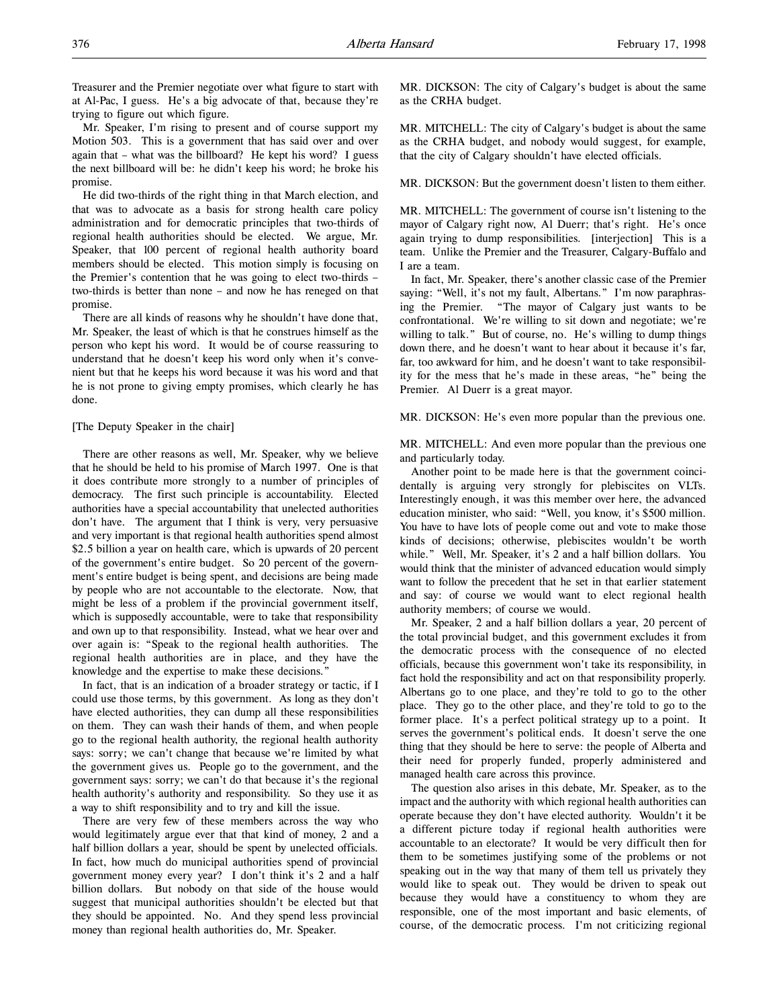Treasurer and the Premier negotiate over what figure to start with at Al-Pac, I guess. He's a big advocate of that, because they're trying to figure out which figure.

Mr. Speaker, I'm rising to present and of course support my Motion 503. This is a government that has said over and over again that – what was the billboard? He kept his word? I guess the next billboard will be: he didn't keep his word; he broke his promise.

He did two-thirds of the right thing in that March election, and that was to advocate as a basis for strong health care policy administration and for democratic principles that two-thirds of regional health authorities should be elected. We argue, Mr. Speaker, that 100 percent of regional health authority board members should be elected. This motion simply is focusing on the Premier's contention that he was going to elect two-thirds – two-thirds is better than none – and now he has reneged on that promise.

There are all kinds of reasons why he shouldn't have done that, Mr. Speaker, the least of which is that he construes himself as the person who kept his word. It would be of course reassuring to understand that he doesn't keep his word only when it's convenient but that he keeps his word because it was his word and that he is not prone to giving empty promises, which clearly he has done.

#### [The Deputy Speaker in the chair]

There are other reasons as well, Mr. Speaker, why we believe that he should be held to his promise of March 1997. One is that it does contribute more strongly to a number of principles of democracy. The first such principle is accountability. Elected authorities have a special accountability that unelected authorities don't have. The argument that I think is very, very persuasive and very important is that regional health authorities spend almost \$2.5 billion a year on health care, which is upwards of 20 percent of the government's entire budget. So 20 percent of the government's entire budget is being spent, and decisions are being made by people who are not accountable to the electorate. Now, that might be less of a problem if the provincial government itself, which is supposedly accountable, were to take that responsibility and own up to that responsibility. Instead, what we hear over and over again is: "Speak to the regional health authorities. The regional health authorities are in place, and they have the knowledge and the expertise to make these decisions."

In fact, that is an indication of a broader strategy or tactic, if I could use those terms, by this government. As long as they don't have elected authorities, they can dump all these responsibilities on them. They can wash their hands of them, and when people go to the regional health authority, the regional health authority says: sorry; we can't change that because we're limited by what the government gives us. People go to the government, and the government says: sorry; we can't do that because it's the regional health authority's authority and responsibility. So they use it as a way to shift responsibility and to try and kill the issue.

There are very few of these members across the way who would legitimately argue ever that that kind of money, 2 and a half billion dollars a year, should be spent by unelected officials. In fact, how much do municipal authorities spend of provincial government money every year? I don't think it's 2 and a half billion dollars. But nobody on that side of the house would suggest that municipal authorities shouldn't be elected but that they should be appointed. No. And they spend less provincial money than regional health authorities do, Mr. Speaker.

MR. DICKSON: The city of Calgary's budget is about the same as the CRHA budget.

MR. MITCHELL: The city of Calgary's budget is about the same as the CRHA budget, and nobody would suggest, for example, that the city of Calgary shouldn't have elected officials.

MR. DICKSON: But the government doesn't listen to them either.

MR. MITCHELL: The government of course isn't listening to the mayor of Calgary right now, Al Duerr; that's right. He's once again trying to dump responsibilities. [interjection] This is a team. Unlike the Premier and the Treasurer, Calgary-Buffalo and I are a team.

In fact, Mr. Speaker, there's another classic case of the Premier saying: "Well, it's not my fault, Albertans." I'm now paraphrasing the Premier. "The mayor of Calgary just wants to be confrontational. We're willing to sit down and negotiate; we're willing to talk." But of course, no. He's willing to dump things down there, and he doesn't want to hear about it because it's far, far, too awkward for him, and he doesn't want to take responsibility for the mess that he's made in these areas, "he" being the Premier. Al Duerr is a great mayor.

MR. DICKSON: He's even more popular than the previous one.

MR. MITCHELL: And even more popular than the previous one and particularly today.

Another point to be made here is that the government coincidentally is arguing very strongly for plebiscites on VLTs. Interestingly enough, it was this member over here, the advanced education minister, who said: "Well, you know, it's \$500 million. You have to have lots of people come out and vote to make those kinds of decisions; otherwise, plebiscites wouldn't be worth while." Well, Mr. Speaker, it's 2 and a half billion dollars. You would think that the minister of advanced education would simply want to follow the precedent that he set in that earlier statement and say: of course we would want to elect regional health authority members; of course we would.

Mr. Speaker, 2 and a half billion dollars a year, 20 percent of the total provincial budget, and this government excludes it from the democratic process with the consequence of no elected officials, because this government won't take its responsibility, in fact hold the responsibility and act on that responsibility properly. Albertans go to one place, and they're told to go to the other place. They go to the other place, and they're told to go to the former place. It's a perfect political strategy up to a point. It serves the government's political ends. It doesn't serve the one thing that they should be here to serve: the people of Alberta and their need for properly funded, properly administered and managed health care across this province.

The question also arises in this debate, Mr. Speaker, as to the impact and the authority with which regional health authorities can operate because they don't have elected authority. Wouldn't it be a different picture today if regional health authorities were accountable to an electorate? It would be very difficult then for them to be sometimes justifying some of the problems or not speaking out in the way that many of them tell us privately they would like to speak out. They would be driven to speak out because they would have a constituency to whom they are responsible, one of the most important and basic elements, of course, of the democratic process. I'm not criticizing regional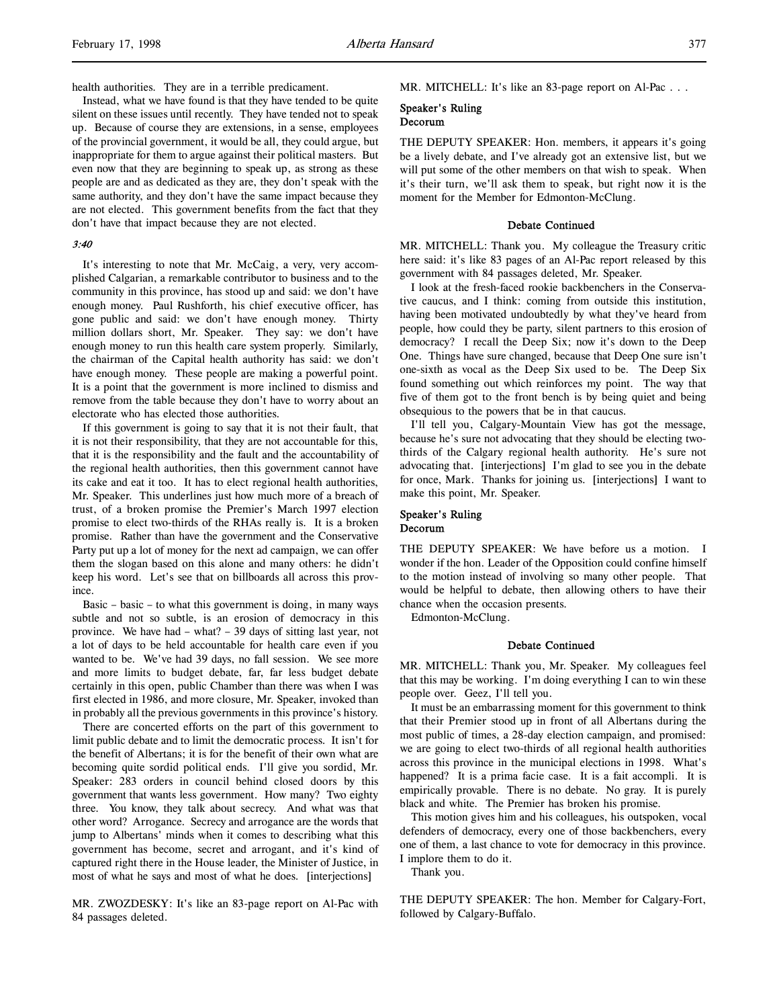health authorities. They are in a terrible predicament.

Instead, what we have found is that they have tended to be quite silent on these issues until recently. They have tended not to speak up. Because of course they are extensions, in a sense, employees of the provincial government, it would be all, they could argue, but inappropriate for them to argue against their political masters. But even now that they are beginning to speak up, as strong as these people are and as dedicated as they are, they don't speak with the same authority, and they don't have the same impact because they are not elected. This government benefits from the fact that they don't have that impact because they are not elected.

#### 3:40

It's interesting to note that Mr. McCaig, a very, very accomplished Calgarian, a remarkable contributor to business and to the community in this province, has stood up and said: we don't have enough money. Paul Rushforth, his chief executive officer, has gone public and said: we don't have enough money. Thirty million dollars short, Mr. Speaker. They say: we don't have enough money to run this health care system properly. Similarly, the chairman of the Capital health authority has said: we don't have enough money. These people are making a powerful point. It is a point that the government is more inclined to dismiss and remove from the table because they don't have to worry about an electorate who has elected those authorities.

If this government is going to say that it is not their fault, that it is not their responsibility, that they are not accountable for this, that it is the responsibility and the fault and the accountability of the regional health authorities, then this government cannot have its cake and eat it too. It has to elect regional health authorities, Mr. Speaker. This underlines just how much more of a breach of trust, of a broken promise the Premier's March 1997 election promise to elect two-thirds of the RHAs really is. It is a broken promise. Rather than have the government and the Conservative Party put up a lot of money for the next ad campaign, we can offer them the slogan based on this alone and many others: he didn't keep his word. Let's see that on billboards all across this province.

Basic – basic – to what this government is doing, in many ways subtle and not so subtle, is an erosion of democracy in this province. We have had – what? – 39 days of sitting last year, not a lot of days to be held accountable for health care even if you wanted to be. We've had 39 days, no fall session. We see more and more limits to budget debate, far, far less budget debate certainly in this open, public Chamber than there was when I was first elected in 1986, and more closure, Mr. Speaker, invoked than in probably all the previous governments in this province's history.

There are concerted efforts on the part of this government to limit public debate and to limit the democratic process. It isn't for the benefit of Albertans; it is for the benefit of their own what are becoming quite sordid political ends. I'll give you sordid, Mr. Speaker: 283 orders in council behind closed doors by this government that wants less government. How many? Two eighty three. You know, they talk about secrecy. And what was that other word? Arrogance. Secrecy and arrogance are the words that jump to Albertans' minds when it comes to describing what this government has become, secret and arrogant, and it's kind of captured right there in the House leader, the Minister of Justice, in most of what he says and most of what he does. [interjections]

MR. ZWOZDESKY: It's like an 83-page report on Al-Pac with 84 passages deleted.

MR. MITCHELL: It's like an 83-page report on Al-Pac . . .

#### Speaker's Ruling Decorum

THE DEPUTY SPEAKER: Hon. members, it appears it's going be a lively debate, and I've already got an extensive list, but we will put some of the other members on that wish to speak. When it's their turn, we'll ask them to speak, but right now it is the moment for the Member for Edmonton-McClung.

#### Debate Continued

MR. MITCHELL: Thank you. My colleague the Treasury critic here said: it's like 83 pages of an Al-Pac report released by this government with 84 passages deleted, Mr. Speaker.

I look at the fresh-faced rookie backbenchers in the Conservative caucus, and I think: coming from outside this institution, having been motivated undoubtedly by what they've heard from people, how could they be party, silent partners to this erosion of democracy? I recall the Deep Six; now it's down to the Deep One. Things have sure changed, because that Deep One sure isn't one-sixth as vocal as the Deep Six used to be. The Deep Six found something out which reinforces my point. The way that five of them got to the front bench is by being quiet and being obsequious to the powers that be in that caucus.

I'll tell you, Calgary-Mountain View has got the message, because he's sure not advocating that they should be electing twothirds of the Calgary regional health authority. He's sure not advocating that. [interjections] I'm glad to see you in the debate for once, Mark. Thanks for joining us. [interjections] I want to make this point, Mr. Speaker.

#### Speaker's Ruling Decorum

THE DEPUTY SPEAKER: We have before us a motion. I wonder if the hon. Leader of the Opposition could confine himself to the motion instead of involving so many other people. That would be helpful to debate, then allowing others to have their chance when the occasion presents.

Edmonton-McClung.

#### Debate Continued

MR. MITCHELL: Thank you, Mr. Speaker. My colleagues feel that this may be working. I'm doing everything I can to win these people over. Geez, I'll tell you.

It must be an embarrassing moment for this government to think that their Premier stood up in front of all Albertans during the most public of times, a 28-day election campaign, and promised: we are going to elect two-thirds of all regional health authorities across this province in the municipal elections in 1998. What's happened? It is a prima facie case. It is a fait accompli. It is empirically provable. There is no debate. No gray. It is purely black and white. The Premier has broken his promise.

This motion gives him and his colleagues, his outspoken, vocal defenders of democracy, every one of those backbenchers, every one of them, a last chance to vote for democracy in this province. I implore them to do it.

Thank you.

THE DEPUTY SPEAKER: The hon. Member for Calgary-Fort, followed by Calgary-Buffalo.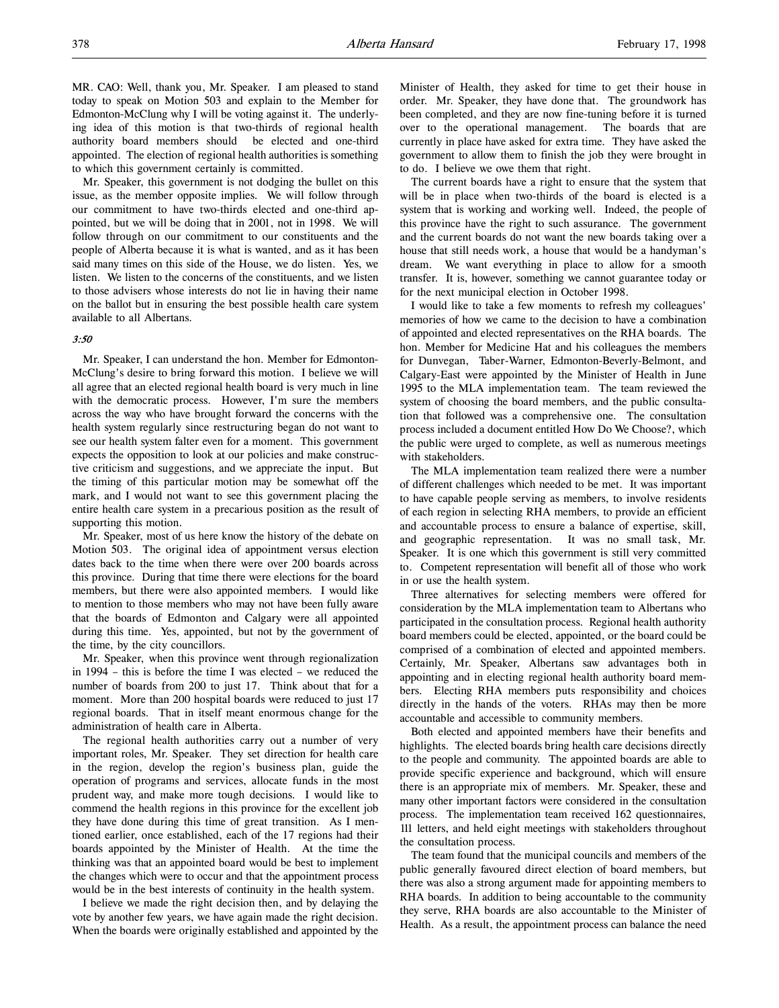MR. CAO: Well, thank you, Mr. Speaker. I am pleased to stand today to speak on Motion 503 and explain to the Member for Edmonton-McClung why I will be voting against it. The underlying idea of this motion is that two-thirds of regional health authority board members should be elected and one-third appointed. The election of regional health authorities is something to which this government certainly is committed.

Mr. Speaker, this government is not dodging the bullet on this issue, as the member opposite implies. We will follow through our commitment to have two-thirds elected and one-third appointed, but we will be doing that in 2001, not in 1998. We will follow through on our commitment to our constituents and the people of Alberta because it is what is wanted, and as it has been said many times on this side of the House, we do listen. Yes, we listen. We listen to the concerns of the constituents, and we listen to those advisers whose interests do not lie in having their name on the ballot but in ensuring the best possible health care system available to all Albertans.

#### 3:50

Mr. Speaker, I can understand the hon. Member for Edmonton-McClung's desire to bring forward this motion. I believe we will all agree that an elected regional health board is very much in line with the democratic process. However, I'm sure the members across the way who have brought forward the concerns with the health system regularly since restructuring began do not want to see our health system falter even for a moment. This government expects the opposition to look at our policies and make constructive criticism and suggestions, and we appreciate the input. But the timing of this particular motion may be somewhat off the mark, and I would not want to see this government placing the entire health care system in a precarious position as the result of supporting this motion.

Mr. Speaker, most of us here know the history of the debate on Motion 503. The original idea of appointment versus election dates back to the time when there were over 200 boards across this province. During that time there were elections for the board members, but there were also appointed members. I would like to mention to those members who may not have been fully aware that the boards of Edmonton and Calgary were all appointed during this time. Yes, appointed, but not by the government of the time, by the city councillors.

Mr. Speaker, when this province went through regionalization in 1994 – this is before the time I was elected – we reduced the number of boards from 200 to just 17. Think about that for a moment. More than 200 hospital boards were reduced to just 17 regional boards. That in itself meant enormous change for the administration of health care in Alberta.

The regional health authorities carry out a number of very important roles, Mr. Speaker. They set direction for health care in the region, develop the region's business plan, guide the operation of programs and services, allocate funds in the most prudent way, and make more tough decisions. I would like to commend the health regions in this province for the excellent job they have done during this time of great transition. As I mentioned earlier, once established, each of the 17 regions had their boards appointed by the Minister of Health. At the time the thinking was that an appointed board would be best to implement the changes which were to occur and that the appointment process would be in the best interests of continuity in the health system.

I believe we made the right decision then, and by delaying the vote by another few years, we have again made the right decision. When the boards were originally established and appointed by the

Minister of Health, they asked for time to get their house in order. Mr. Speaker, they have done that. The groundwork has been completed, and they are now fine-tuning before it is turned over to the operational management. The boards that are currently in place have asked for extra time. They have asked the government to allow them to finish the job they were brought in to do. I believe we owe them that right.

The current boards have a right to ensure that the system that will be in place when two-thirds of the board is elected is a system that is working and working well. Indeed, the people of this province have the right to such assurance. The government and the current boards do not want the new boards taking over a house that still needs work, a house that would be a handyman's dream. We want everything in place to allow for a smooth transfer. It is, however, something we cannot guarantee today or for the next municipal election in October 1998.

I would like to take a few moments to refresh my colleagues' memories of how we came to the decision to have a combination of appointed and elected representatives on the RHA boards. The hon. Member for Medicine Hat and his colleagues the members for Dunvegan, Taber-Warner, Edmonton-Beverly-Belmont, and Calgary-East were appointed by the Minister of Health in June 1995 to the MLA implementation team. The team reviewed the system of choosing the board members, and the public consultation that followed was a comprehensive one. The consultation process included a document entitled How Do We Choose?, which the public were urged to complete, as well as numerous meetings with stakeholders.

The MLA implementation team realized there were a number of different challenges which needed to be met. It was important to have capable people serving as members, to involve residents of each region in selecting RHA members, to provide an efficient and accountable process to ensure a balance of expertise, skill, and geographic representation. It was no small task, Mr. Speaker. It is one which this government is still very committed to. Competent representation will benefit all of those who work in or use the health system.

Three alternatives for selecting members were offered for consideration by the MLA implementation team to Albertans who participated in the consultation process. Regional health authority board members could be elected, appointed, or the board could be comprised of a combination of elected and appointed members. Certainly, Mr. Speaker, Albertans saw advantages both in appointing and in electing regional health authority board members. Electing RHA members puts responsibility and choices directly in the hands of the voters. RHAs may then be more accountable and accessible to community members.

Both elected and appointed members have their benefits and highlights. The elected boards bring health care decisions directly to the people and community. The appointed boards are able to provide specific experience and background, which will ensure there is an appropriate mix of members. Mr. Speaker, these and many other important factors were considered in the consultation process. The implementation team received 162 questionnaires, 111 letters, and held eight meetings with stakeholders throughout the consultation process.

The team found that the municipal councils and members of the public generally favoured direct election of board members, but there was also a strong argument made for appointing members to RHA boards. In addition to being accountable to the community they serve, RHA boards are also accountable to the Minister of Health. As a result, the appointment process can balance the need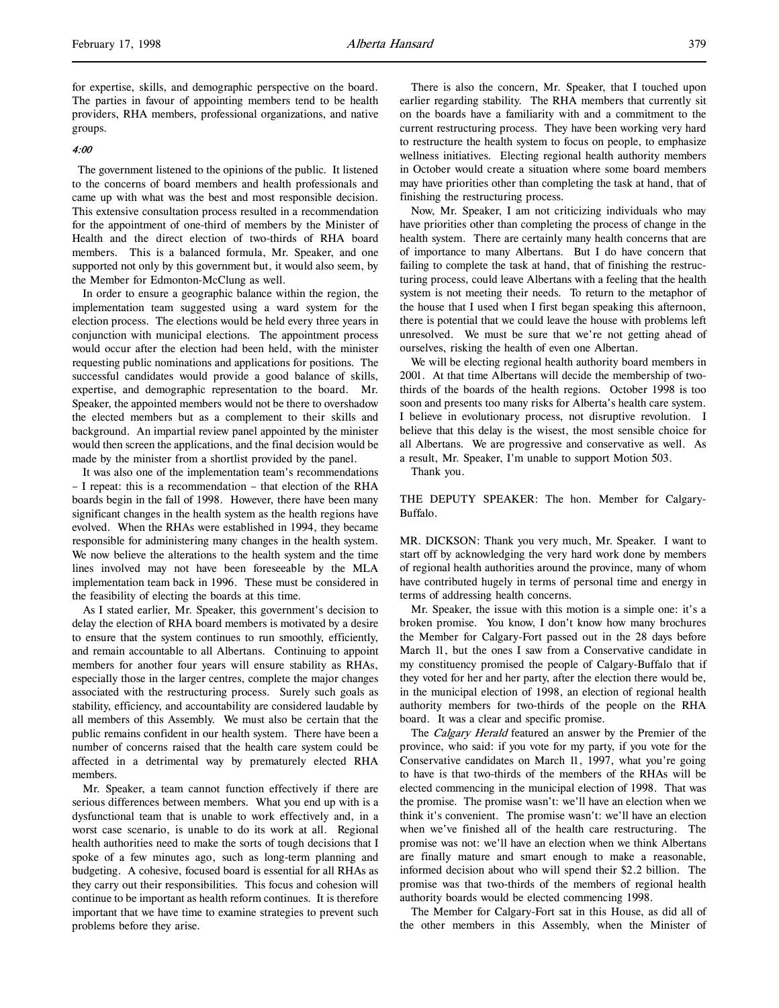for expertise, skills, and demographic perspective on the board. The parties in favour of appointing members tend to be health providers, RHA members, professional organizations, and native groups.

#### 4:00

 The government listened to the opinions of the public. It listened to the concerns of board members and health professionals and came up with what was the best and most responsible decision. This extensive consultation process resulted in a recommendation for the appointment of one-third of members by the Minister of Health and the direct election of two-thirds of RHA board members. This is a balanced formula, Mr. Speaker, and one supported not only by this government but, it would also seem, by the Member for Edmonton-McClung as well.

In order to ensure a geographic balance within the region, the implementation team suggested using a ward system for the election process. The elections would be held every three years in conjunction with municipal elections. The appointment process would occur after the election had been held, with the minister requesting public nominations and applications for positions. The successful candidates would provide a good balance of skills, expertise, and demographic representation to the board. Mr. Speaker, the appointed members would not be there to overshadow the elected members but as a complement to their skills and background. An impartial review panel appointed by the minister would then screen the applications, and the final decision would be made by the minister from a shortlist provided by the panel.

It was also one of the implementation team's recommendations – I repeat: this is a recommendation – that election of the RHA boards begin in the fall of 1998. However, there have been many significant changes in the health system as the health regions have evolved. When the RHAs were established in 1994, they became responsible for administering many changes in the health system. We now believe the alterations to the health system and the time lines involved may not have been foreseeable by the MLA implementation team back in 1996. These must be considered in the feasibility of electing the boards at this time.

As I stated earlier, Mr. Speaker, this government's decision to delay the election of RHA board members is motivated by a desire to ensure that the system continues to run smoothly, efficiently, and remain accountable to all Albertans. Continuing to appoint members for another four years will ensure stability as RHAs, especially those in the larger centres, complete the major changes associated with the restructuring process. Surely such goals as stability, efficiency, and accountability are considered laudable by all members of this Assembly. We must also be certain that the public remains confident in our health system. There have been a number of concerns raised that the health care system could be affected in a detrimental way by prematurely elected RHA members.

Mr. Speaker, a team cannot function effectively if there are serious differences between members. What you end up with is a dysfunctional team that is unable to work effectively and, in a worst case scenario, is unable to do its work at all. Regional health authorities need to make the sorts of tough decisions that I spoke of a few minutes ago, such as long-term planning and budgeting. A cohesive, focused board is essential for all RHAs as they carry out their responsibilities. This focus and cohesion will continue to be important as health reform continues. It is therefore important that we have time to examine strategies to prevent such problems before they arise.

There is also the concern, Mr. Speaker, that I touched upon earlier regarding stability. The RHA members that currently sit on the boards have a familiarity with and a commitment to the current restructuring process. They have been working very hard to restructure the health system to focus on people, to emphasize wellness initiatives. Electing regional health authority members in October would create a situation where some board members may have priorities other than completing the task at hand, that of finishing the restructuring process.

Now, Mr. Speaker, I am not criticizing individuals who may have priorities other than completing the process of change in the health system. There are certainly many health concerns that are of importance to many Albertans. But I do have concern that failing to complete the task at hand, that of finishing the restructuring process, could leave Albertans with a feeling that the health system is not meeting their needs. To return to the metaphor of the house that I used when I first began speaking this afternoon, there is potential that we could leave the house with problems left unresolved. We must be sure that we're not getting ahead of ourselves, risking the health of even one Albertan.

We will be electing regional health authority board members in 2001. At that time Albertans will decide the membership of twothirds of the boards of the health regions. October 1998 is too soon and presents too many risks for Alberta's health care system. I believe in evolutionary process, not disruptive revolution. I believe that this delay is the wisest, the most sensible choice for all Albertans. We are progressive and conservative as well. As a result, Mr. Speaker, I'm unable to support Motion 503.

Thank you.

THE DEPUTY SPEAKER: The hon. Member for Calgary-Buffalo.

MR. DICKSON: Thank you very much, Mr. Speaker. I want to start off by acknowledging the very hard work done by members of regional health authorities around the province, many of whom have contributed hugely in terms of personal time and energy in terms of addressing health concerns.

Mr. Speaker, the issue with this motion is a simple one: it's a broken promise. You know, I don't know how many brochures the Member for Calgary-Fort passed out in the 28 days before March 11, but the ones I saw from a Conservative candidate in my constituency promised the people of Calgary-Buffalo that if they voted for her and her party, after the election there would be, in the municipal election of 1998, an election of regional health authority members for two-thirds of the people on the RHA board. It was a clear and specific promise.

The Calgary Herald featured an answer by the Premier of the province, who said: if you vote for my party, if you vote for the Conservative candidates on March 11, 1997, what you're going to have is that two-thirds of the members of the RHAs will be elected commencing in the municipal election of 1998. That was the promise. The promise wasn't: we'll have an election when we think it's convenient. The promise wasn't: we'll have an election when we've finished all of the health care restructuring. The promise was not: we'll have an election when we think Albertans are finally mature and smart enough to make a reasonable, informed decision about who will spend their \$2.2 billion. The promise was that two-thirds of the members of regional health authority boards would be elected commencing 1998.

The Member for Calgary-Fort sat in this House, as did all of the other members in this Assembly, when the Minister of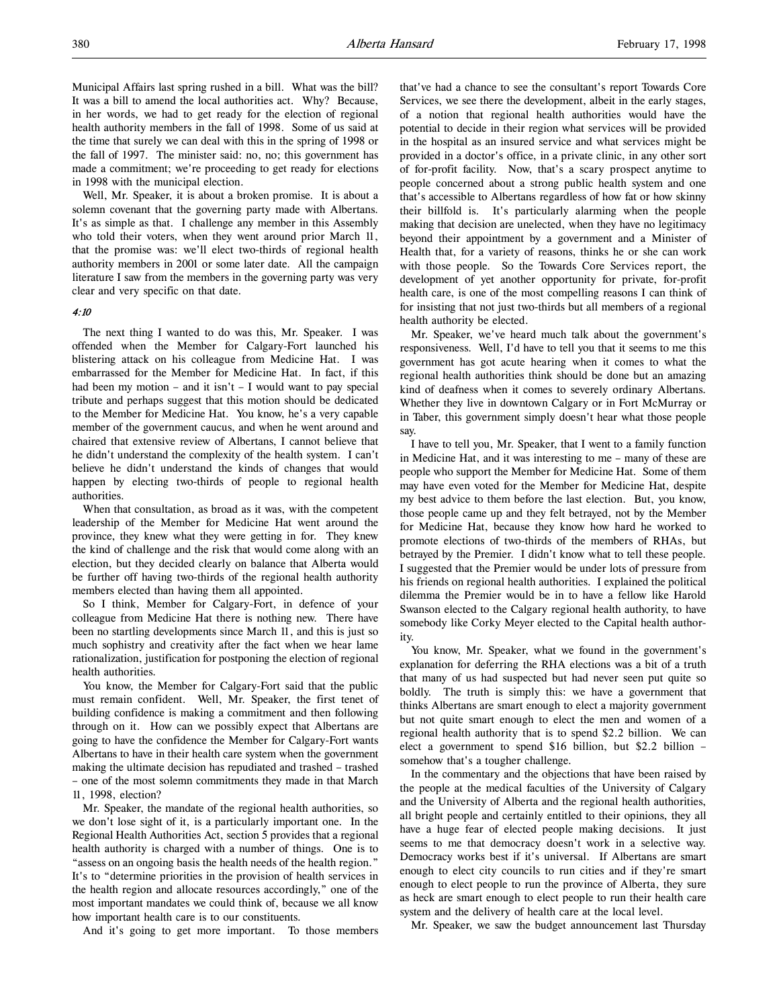Municipal Affairs last spring rushed in a bill. What was the bill? It was a bill to amend the local authorities act. Why? Because, in her words, we had to get ready for the election of regional health authority members in the fall of 1998. Some of us said at the time that surely we can deal with this in the spring of 1998 or the fall of 1997. The minister said: no, no; this government has made a commitment; we're proceeding to get ready for elections in 1998 with the municipal election.

Well, Mr. Speaker, it is about a broken promise. It is about a solemn covenant that the governing party made with Albertans. It's as simple as that. I challenge any member in this Assembly who told their voters, when they went around prior March 11, that the promise was: we'll elect two-thirds of regional health authority members in 2001 or some later date. All the campaign literature I saw from the members in the governing party was very clear and very specific on that date.

#### 4:10

The next thing I wanted to do was this, Mr. Speaker. I was offended when the Member for Calgary-Fort launched his blistering attack on his colleague from Medicine Hat. I was embarrassed for the Member for Medicine Hat. In fact, if this had been my motion – and it isn't – I would want to pay special tribute and perhaps suggest that this motion should be dedicated to the Member for Medicine Hat. You know, he's a very capable member of the government caucus, and when he went around and chaired that extensive review of Albertans, I cannot believe that he didn't understand the complexity of the health system. I can't believe he didn't understand the kinds of changes that would happen by electing two-thirds of people to regional health authorities.

When that consultation, as broad as it was, with the competent leadership of the Member for Medicine Hat went around the province, they knew what they were getting in for. They knew the kind of challenge and the risk that would come along with an election, but they decided clearly on balance that Alberta would be further off having two-thirds of the regional health authority members elected than having them all appointed.

So I think, Member for Calgary-Fort, in defence of your colleague from Medicine Hat there is nothing new. There have been no startling developments since March 11, and this is just so much sophistry and creativity after the fact when we hear lame rationalization, justification for postponing the election of regional health authorities.

You know, the Member for Calgary-Fort said that the public must remain confident. Well, Mr. Speaker, the first tenet of building confidence is making a commitment and then following through on it. How can we possibly expect that Albertans are going to have the confidence the Member for Calgary-Fort wants Albertans to have in their health care system when the government making the ultimate decision has repudiated and trashed – trashed – one of the most solemn commitments they made in that March 11, 1998, election?

Mr. Speaker, the mandate of the regional health authorities, so we don't lose sight of it, is a particularly important one. In the Regional Health Authorities Act, section 5 provides that a regional health authority is charged with a number of things. One is to "assess on an ongoing basis the health needs of the health region." It's to "determine priorities in the provision of health services in the health region and allocate resources accordingly," one of the most important mandates we could think of, because we all know how important health care is to our constituents.

And it's going to get more important. To those members

that've had a chance to see the consultant's report Towards Core Services, we see there the development, albeit in the early stages, of a notion that regional health authorities would have the potential to decide in their region what services will be provided in the hospital as an insured service and what services might be provided in a doctor's office, in a private clinic, in any other sort of for-profit facility. Now, that's a scary prospect anytime to people concerned about a strong public health system and one that's accessible to Albertans regardless of how fat or how skinny their billfold is. It's particularly alarming when the people making that decision are unelected, when they have no legitimacy beyond their appointment by a government and a Minister of Health that, for a variety of reasons, thinks he or she can work with those people. So the Towards Core Services report, the development of yet another opportunity for private, for-profit health care, is one of the most compelling reasons I can think of for insisting that not just two-thirds but all members of a regional health authority be elected.

Mr. Speaker, we've heard much talk about the government's responsiveness. Well, I'd have to tell you that it seems to me this government has got acute hearing when it comes to what the regional health authorities think should be done but an amazing kind of deafness when it comes to severely ordinary Albertans. Whether they live in downtown Calgary or in Fort McMurray or in Taber, this government simply doesn't hear what those people say.

I have to tell you, Mr. Speaker, that I went to a family function in Medicine Hat, and it was interesting to me – many of these are people who support the Member for Medicine Hat. Some of them may have even voted for the Member for Medicine Hat, despite my best advice to them before the last election. But, you know, those people came up and they felt betrayed, not by the Member for Medicine Hat, because they know how hard he worked to promote elections of two-thirds of the members of RHAs, but betrayed by the Premier. I didn't know what to tell these people. I suggested that the Premier would be under lots of pressure from his friends on regional health authorities. I explained the political dilemma the Premier would be in to have a fellow like Harold Swanson elected to the Calgary regional health authority, to have somebody like Corky Meyer elected to the Capital health authority.

You know, Mr. Speaker, what we found in the government's explanation for deferring the RHA elections was a bit of a truth that many of us had suspected but had never seen put quite so boldly. The truth is simply this: we have a government that thinks Albertans are smart enough to elect a majority government but not quite smart enough to elect the men and women of a regional health authority that is to spend \$2.2 billion. We can elect a government to spend \$16 billion, but \$2.2 billion – somehow that's a tougher challenge.

In the commentary and the objections that have been raised by the people at the medical faculties of the University of Calgary and the University of Alberta and the regional health authorities, all bright people and certainly entitled to their opinions, they all have a huge fear of elected people making decisions. It just seems to me that democracy doesn't work in a selective way. Democracy works best if it's universal. If Albertans are smart enough to elect city councils to run cities and if they're smart enough to elect people to run the province of Alberta, they sure as heck are smart enough to elect people to run their health care system and the delivery of health care at the local level.

Mr. Speaker, we saw the budget announcement last Thursday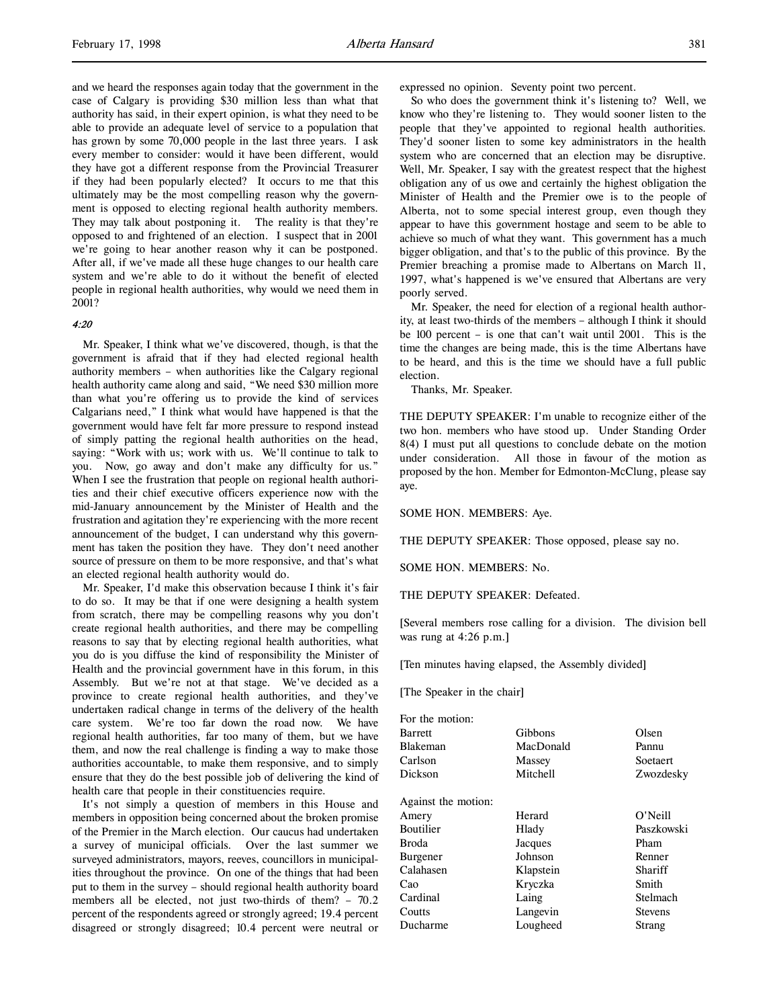and we heard the responses again today that the government in the case of Calgary is providing \$30 million less than what that authority has said, in their expert opinion, is what they need to be able to provide an adequate level of service to a population that has grown by some 70,000 people in the last three years. I ask every member to consider: would it have been different, would they have got a different response from the Provincial Treasurer if they had been popularly elected? It occurs to me that this ultimately may be the most compelling reason why the government is opposed to electing regional health authority members. They may talk about postponing it. The reality is that they're opposed to and frightened of an election. I suspect that in 2001 we're going to hear another reason why it can be postponed. After all, if we've made all these huge changes to our health care system and we're able to do it without the benefit of elected people in regional health authorities, why would we need them in 2001?

# 4:20

Mr. Speaker, I think what we've discovered, though, is that the government is afraid that if they had elected regional health authority members – when authorities like the Calgary regional health authority came along and said, "We need \$30 million more than what you're offering us to provide the kind of services Calgarians need," I think what would have happened is that the government would have felt far more pressure to respond instead of simply patting the regional health authorities on the head, saying: "Work with us; work with us. We'll continue to talk to you. Now, go away and don't make any difficulty for us." When I see the frustration that people on regional health authorities and their chief executive officers experience now with the mid-January announcement by the Minister of Health and the frustration and agitation they're experiencing with the more recent announcement of the budget, I can understand why this government has taken the position they have. They don't need another source of pressure on them to be more responsive, and that's what an elected regional health authority would do.

Mr. Speaker, I'd make this observation because I think it's fair to do so. It may be that if one were designing a health system from scratch, there may be compelling reasons why you don't create regional health authorities, and there may be compelling reasons to say that by electing regional health authorities, what you do is you diffuse the kind of responsibility the Minister of Health and the provincial government have in this forum, in this Assembly. But we're not at that stage. We've decided as a province to create regional health authorities, and they've undertaken radical change in terms of the delivery of the health care system. We're too far down the road now. We have regional health authorities, far too many of them, but we have them, and now the real challenge is finding a way to make those authorities accountable, to make them responsive, and to simply ensure that they do the best possible job of delivering the kind of health care that people in their constituencies require.

It's not simply a question of members in this House and members in opposition being concerned about the broken promise of the Premier in the March election. Our caucus had undertaken a survey of municipal officials. Over the last summer we surveyed administrators, mayors, reeves, councillors in municipalities throughout the province. On one of the things that had been put to them in the survey – should regional health authority board members all be elected, not just two-thirds of them? – 70.2 percent of the respondents agreed or strongly agreed; 19.4 percent disagreed or strongly disagreed; 10.4 percent were neutral or

expressed no opinion. Seventy point two percent.

So who does the government think it's listening to? Well, we know who they're listening to. They would sooner listen to the people that they've appointed to regional health authorities. They'd sooner listen to some key administrators in the health system who are concerned that an election may be disruptive. Well, Mr. Speaker, I say with the greatest respect that the highest obligation any of us owe and certainly the highest obligation the Minister of Health and the Premier owe is to the people of Alberta, not to some special interest group, even though they appear to have this government hostage and seem to be able to achieve so much of what they want. This government has a much bigger obligation, and that's to the public of this province. By the Premier breaching a promise made to Albertans on March 11, 1997, what's happened is we've ensured that Albertans are very poorly served.

Mr. Speaker, the need for election of a regional health authority, at least two-thirds of the members – although I think it should be 100 percent – is one that can't wait until 2001. This is the time the changes are being made, this is the time Albertans have to be heard, and this is the time we should have a full public election.

Thanks, Mr. Speaker.

THE DEPUTY SPEAKER: I'm unable to recognize either of the two hon. members who have stood up. Under Standing Order 8(4) I must put all questions to conclude debate on the motion under consideration. All those in favour of the motion as proposed by the hon. Member for Edmonton-McClung, please say aye.

SOME HON. MEMBERS: Aye.

THE DEPUTY SPEAKER: Those opposed, please say no.

SOME HON. MEMBERS: No.

THE DEPUTY SPEAKER: Defeated.

[Several members rose calling for a division. The division bell was rung at 4:26 p.m.]

[Ten minutes having elapsed, the Assembly divided]

[The Speaker in the chair]

| For the motion:     |           |            |
|---------------------|-----------|------------|
| <b>Barrett</b>      | Gibbons   | Olsen      |
| Blakeman            | MacDonald | Pannu      |
| Carlson             | Massey    | Soetaert   |
| Dickson             | Mitchell  | Zwozdesky  |
| Against the motion: |           |            |
| Amery               | Herard    | O'Neill    |
| Boutilier           | Hlady     | Paszkowski |
| Broda               | Jacques   | Pham       |
| Burgener            | Johnson   | Renner     |
| Calahasen           | Klapstein | Shariff    |
| Cao                 | Kryczka   | Smith      |
| Cardinal            | Laing     | Stelmach   |
| Coutts              | Langevin  | Stevens    |
| Ducharme            | Lougheed  | Strang     |
|                     |           |            |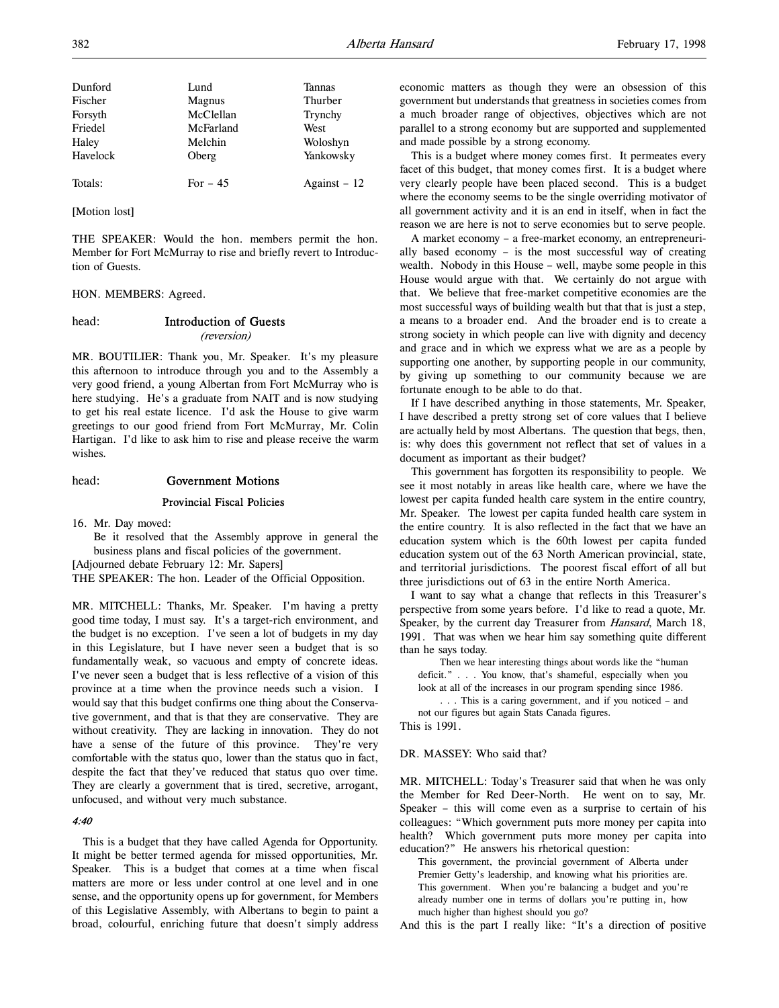| Dunford  | Lund      | Tannas        |
|----------|-----------|---------------|
| Fischer  | Magnus    | Thurber       |
| Forsyth  | McClellan | Trynchy       |
| Friedel  | McFarland | West          |
| Haley    | Melchin   | Woloshyn      |
| Havelock | Oberg     | Yankowsky     |
| Totals:  | For $-45$ | Against $-12$ |

[Motion lost]

THE SPEAKER: Would the hon. members permit the hon. Member for Fort McMurray to rise and briefly revert to Introduction of Guests.

HON. MEMBERS: Agreed.

# head: Introduction of Guests

#### (reversion)

MR. BOUTILIER: Thank you, Mr. Speaker. It's my pleasure this afternoon to introduce through you and to the Assembly a very good friend, a young Albertan from Fort McMurray who is here studying. He's a graduate from NAIT and is now studying to get his real estate licence. I'd ask the House to give warm greetings to our good friend from Fort McMurray, Mr. Colin Hartigan. I'd like to ask him to rise and please receive the warm wishes.

# head: Government Motions

#### Provincial Fiscal Policies

16. Mr. Day moved:

Be it resolved that the Assembly approve in general the business plans and fiscal policies of the government.

[Adjourned debate February 12: Mr. Sapers]

THE SPEAKER: The hon. Leader of the Official Opposition.

MR. MITCHELL: Thanks, Mr. Speaker. I'm having a pretty good time today, I must say. It's a target-rich environment, and the budget is no exception. I've seen a lot of budgets in my day in this Legislature, but I have never seen a budget that is so fundamentally weak, so vacuous and empty of concrete ideas. I've never seen a budget that is less reflective of a vision of this province at a time when the province needs such a vision. I would say that this budget confirms one thing about the Conservative government, and that is that they are conservative. They are without creativity. They are lacking in innovation. They do not have a sense of the future of this province. They're very comfortable with the status quo, lower than the status quo in fact, despite the fact that they've reduced that status quo over time. They are clearly a government that is tired, secretive, arrogant, unfocused, and without very much substance.

# 4:40

This is a budget that they have called Agenda for Opportunity. It might be better termed agenda for missed opportunities, Mr. Speaker. This is a budget that comes at a time when fiscal matters are more or less under control at one level and in one sense, and the opportunity opens up for government, for Members of this Legislative Assembly, with Albertans to begin to paint a broad, colourful, enriching future that doesn't simply address economic matters as though they were an obsession of this government but understands that greatness in societies comes from a much broader range of objectives, objectives which are not parallel to a strong economy but are supported and supplemented and made possible by a strong economy.

This is a budget where money comes first. It permeates every facet of this budget, that money comes first. It is a budget where very clearly people have been placed second. This is a budget where the economy seems to be the single overriding motivator of all government activity and it is an end in itself, when in fact the reason we are here is not to serve economies but to serve people.

A market economy – a free-market economy, an entrepreneurially based economy – is the most successful way of creating wealth. Nobody in this House – well, maybe some people in this House would argue with that. We certainly do not argue with that. We believe that free-market competitive economies are the most successful ways of building wealth but that that is just a step, a means to a broader end. And the broader end is to create a strong society in which people can live with dignity and decency and grace and in which we express what we are as a people by supporting one another, by supporting people in our community, by giving up something to our community because we are fortunate enough to be able to do that.

If I have described anything in those statements, Mr. Speaker, I have described a pretty strong set of core values that I believe are actually held by most Albertans. The question that begs, then, is: why does this government not reflect that set of values in a document as important as their budget?

This government has forgotten its responsibility to people. We see it most notably in areas like health care, where we have the lowest per capita funded health care system in the entire country, Mr. Speaker. The lowest per capita funded health care system in the entire country. It is also reflected in the fact that we have an education system which is the 60th lowest per capita funded education system out of the 63 North American provincial, state, and territorial jurisdictions. The poorest fiscal effort of all but three jurisdictions out of 63 in the entire North America.

I want to say what a change that reflects in this Treasurer's perspective from some years before. I'd like to read a quote, Mr. Speaker, by the current day Treasurer from Hansard, March 18, 1991. That was when we hear him say something quite different than he says today.

Then we hear interesting things about words like the "human deficit." . . . You know, that's shameful, especially when you look at all of the increases in our program spending since 1986.

. . . This is a caring government, and if you noticed – and not our figures but again Stats Canada figures.

This is 1991.

#### DR. MASSEY: Who said that?

MR. MITCHELL: Today's Treasurer said that when he was only the Member for Red Deer-North. He went on to say, Mr. Speaker – this will come even as a surprise to certain of his colleagues: "Which government puts more money per capita into health? Which government puts more money per capita into education?" He answers his rhetorical question:

This government, the provincial government of Alberta under Premier Getty's leadership, and knowing what his priorities are. This government. When you're balancing a budget and you're already number one in terms of dollars you're putting in, how much higher than highest should you go?

And this is the part I really like: "It's a direction of positive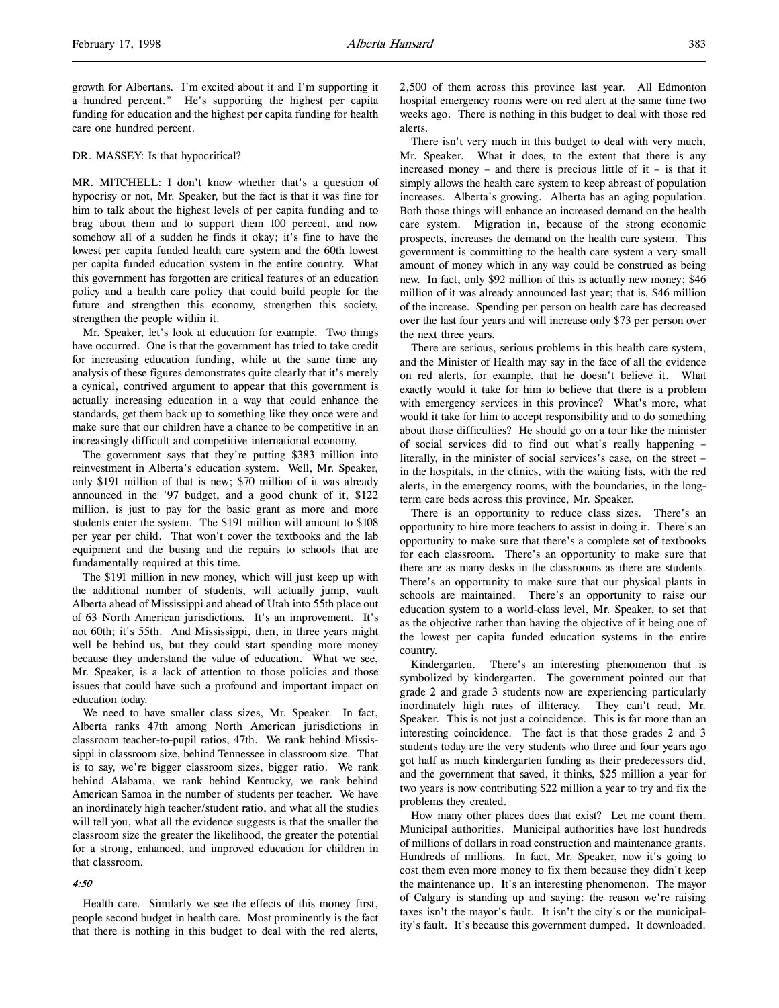growth for Albertans. I'm excited about it and I'm supporting it a hundred percent." He's supporting the highest per capita funding for education and the highest per capita funding for health care one hundred percent.

#### DR. MASSEY: Is that hypocritical?

MR. MITCHELL: I don't know whether that's a question of hypocrisy or not, Mr. Speaker, but the fact is that it was fine for him to talk about the highest levels of per capita funding and to brag about them and to support them 100 percent, and now somehow all of a sudden he finds it okay; it's fine to have the lowest per capita funded health care system and the 60th lowest per capita funded education system in the entire country. What this government has forgotten are critical features of an education policy and a health care policy that could build people for the future and strengthen this economy, strengthen this society, strengthen the people within it.

Mr. Speaker, let's look at education for example. Two things have occurred. One is that the government has tried to take credit for increasing education funding, while at the same time any analysis of these figures demonstrates quite clearly that it's merely a cynical, contrived argument to appear that this government is actually increasing education in a way that could enhance the standards, get them back up to something like they once were and make sure that our children have a chance to be competitive in an increasingly difficult and competitive international economy.

The government says that they're putting \$383 million into reinvestment in Alberta's education system. Well, Mr. Speaker, only \$191 million of that is new; \$70 million of it was already announced in the '97 budget, and a good chunk of it, \$122 million, is just to pay for the basic grant as more and more students enter the system. The \$191 million will amount to \$108 per year per child. That won't cover the textbooks and the lab equipment and the busing and the repairs to schools that are fundamentally required at this time.

The \$191 million in new money, which will just keep up with the additional number of students, will actually jump, vault Alberta ahead of Mississippi and ahead of Utah into 55th place out of 63 North American jurisdictions. It's an improvement. It's not 60th; it's 55th. And Mississippi, then, in three years might well be behind us, but they could start spending more money because they understand the value of education. What we see, Mr. Speaker, is a lack of attention to those policies and those issues that could have such a profound and important impact on education today.

We need to have smaller class sizes, Mr. Speaker. In fact, Alberta ranks 47th among North American jurisdictions in classroom teacher-to-pupil ratios, 47th. We rank behind Mississippi in classroom size, behind Tennessee in classroom size. That is to say, we're bigger classroom sizes, bigger ratio. We rank behind Alabama, we rank behind Kentucky, we rank behind American Samoa in the number of students per teacher. We have an inordinately high teacher/student ratio, and what all the studies will tell you, what all the evidence suggests is that the smaller the classroom size the greater the likelihood, the greater the potential for a strong, enhanced, and improved education for children in that classroom.

#### 4:50

Health care. Similarly we see the effects of this money first, people second budget in health care. Most prominently is the fact that there is nothing in this budget to deal with the red alerts,

2,500 of them across this province last year. All Edmonton hospital emergency rooms were on red alert at the same time two weeks ago. There is nothing in this budget to deal with those red alerts.

There isn't very much in this budget to deal with very much, Mr. Speaker. What it does, to the extent that there is any increased money – and there is precious little of it – is that it simply allows the health care system to keep abreast of population increases. Alberta's growing. Alberta has an aging population. Both those things will enhance an increased demand on the health care system. Migration in, because of the strong economic prospects, increases the demand on the health care system. This government is committing to the health care system a very small amount of money which in any way could be construed as being new. In fact, only \$92 million of this is actually new money; \$46 million of it was already announced last year; that is, \$46 million of the increase. Spending per person on health care has decreased over the last four years and will increase only \$73 per person over the next three years.

There are serious, serious problems in this health care system, and the Minister of Health may say in the face of all the evidence on red alerts, for example, that he doesn't believe it. What exactly would it take for him to believe that there is a problem with emergency services in this province? What's more, what would it take for him to accept responsibility and to do something about those difficulties? He should go on a tour like the minister of social services did to find out what's really happening – literally, in the minister of social services's case, on the street – in the hospitals, in the clinics, with the waiting lists, with the red alerts, in the emergency rooms, with the boundaries, in the longterm care beds across this province, Mr. Speaker.

There is an opportunity to reduce class sizes. There's an opportunity to hire more teachers to assist in doing it. There's an opportunity to make sure that there's a complete set of textbooks for each classroom. There's an opportunity to make sure that there are as many desks in the classrooms as there are students. There's an opportunity to make sure that our physical plants in schools are maintained. There's an opportunity to raise our education system to a world-class level, Mr. Speaker, to set that as the objective rather than having the objective of it being one of the lowest per capita funded education systems in the entire country.

Kindergarten. There's an interesting phenomenon that is symbolized by kindergarten. The government pointed out that grade 2 and grade 3 students now are experiencing particularly inordinately high rates of illiteracy. They can't read, Mr. Speaker. This is not just a coincidence. This is far more than an interesting coincidence. The fact is that those grades 2 and 3 students today are the very students who three and four years ago got half as much kindergarten funding as their predecessors did, and the government that saved, it thinks, \$25 million a year for two years is now contributing \$22 million a year to try and fix the problems they created.

How many other places does that exist? Let me count them. Municipal authorities. Municipal authorities have lost hundreds of millions of dollars in road construction and maintenance grants. Hundreds of millions. In fact, Mr. Speaker, now it's going to cost them even more money to fix them because they didn't keep the maintenance up. It's an interesting phenomenon. The mayor of Calgary is standing up and saying: the reason we're raising taxes isn't the mayor's fault. It isn't the city's or the municipality's fault. It's because this government dumped. It downloaded.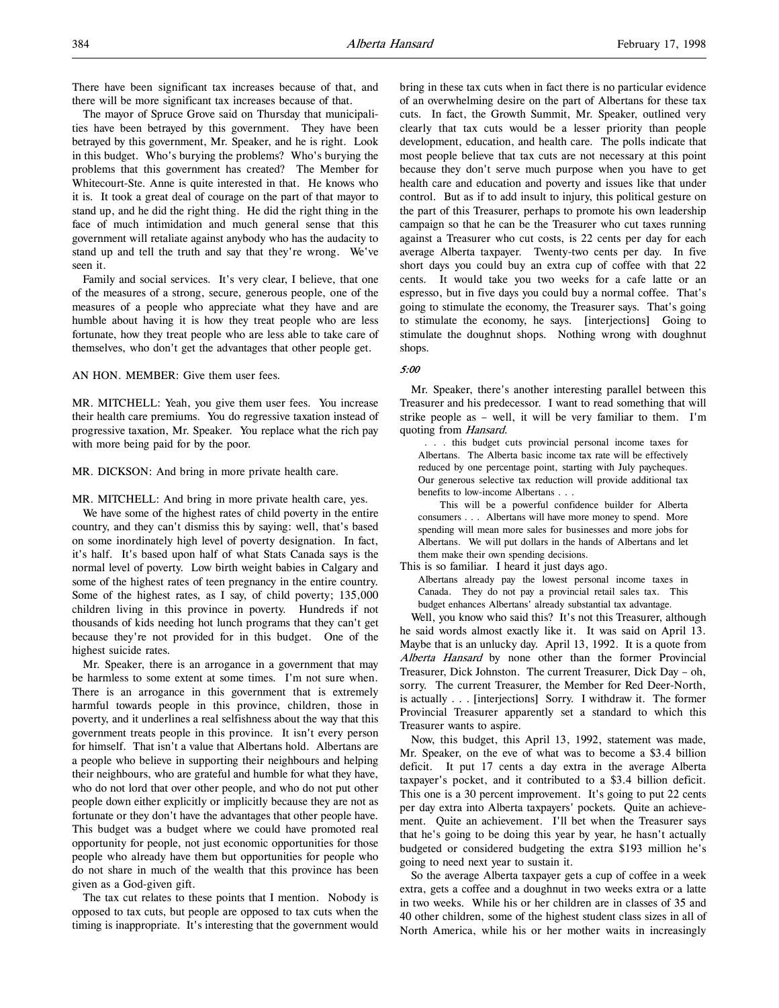There have been significant tax increases because of that, and there will be more significant tax increases because of that.

The mayor of Spruce Grove said on Thursday that municipalities have been betrayed by this government. They have been betrayed by this government, Mr. Speaker, and he is right. Look in this budget. Who's burying the problems? Who's burying the problems that this government has created? The Member for Whitecourt-Ste. Anne is quite interested in that. He knows who it is. It took a great deal of courage on the part of that mayor to stand up, and he did the right thing. He did the right thing in the face of much intimidation and much general sense that this government will retaliate against anybody who has the audacity to stand up and tell the truth and say that they're wrong. We've seen it.

Family and social services. It's very clear, I believe, that one of the measures of a strong, secure, generous people, one of the measures of a people who appreciate what they have and are humble about having it is how they treat people who are less fortunate, how they treat people who are less able to take care of themselves, who don't get the advantages that other people get.

#### AN HON. MEMBER: Give them user fees.

MR. MITCHELL: Yeah, you give them user fees. You increase their health care premiums. You do regressive taxation instead of progressive taxation, Mr. Speaker. You replace what the rich pay with more being paid for by the poor.

#### MR. DICKSON: And bring in more private health care.

MR. MITCHELL: And bring in more private health care, yes.

We have some of the highest rates of child poverty in the entire country, and they can't dismiss this by saying: well, that's based on some inordinately high level of poverty designation. In fact, it's half. It's based upon half of what Stats Canada says is the normal level of poverty. Low birth weight babies in Calgary and some of the highest rates of teen pregnancy in the entire country. Some of the highest rates, as I say, of child poverty; 135,000 children living in this province in poverty. Hundreds if not thousands of kids needing hot lunch programs that they can't get because they're not provided for in this budget. One of the highest suicide rates.

Mr. Speaker, there is an arrogance in a government that may be harmless to some extent at some times. I'm not sure when. There is an arrogance in this government that is extremely harmful towards people in this province, children, those in poverty, and it underlines a real selfishness about the way that this government treats people in this province. It isn't every person for himself. That isn't a value that Albertans hold. Albertans are a people who believe in supporting their neighbours and helping their neighbours, who are grateful and humble for what they have, who do not lord that over other people, and who do not put other people down either explicitly or implicitly because they are not as fortunate or they don't have the advantages that other people have. This budget was a budget where we could have promoted real opportunity for people, not just economic opportunities for those people who already have them but opportunities for people who do not share in much of the wealth that this province has been given as a God-given gift.

The tax cut relates to these points that I mention. Nobody is opposed to tax cuts, but people are opposed to tax cuts when the timing is inappropriate. It's interesting that the government would

bring in these tax cuts when in fact there is no particular evidence of an overwhelming desire on the part of Albertans for these tax cuts. In fact, the Growth Summit, Mr. Speaker, outlined very clearly that tax cuts would be a lesser priority than people development, education, and health care. The polls indicate that most people believe that tax cuts are not necessary at this point because they don't serve much purpose when you have to get health care and education and poverty and issues like that under control. But as if to add insult to injury, this political gesture on the part of this Treasurer, perhaps to promote his own leadership campaign so that he can be the Treasurer who cut taxes running against a Treasurer who cut costs, is 22 cents per day for each average Alberta taxpayer. Twenty-two cents per day. In five short days you could buy an extra cup of coffee with that 22 cents. It would take you two weeks for a cafe latte or an espresso, but in five days you could buy a normal coffee. That's going to stimulate the economy, the Treasurer says. That's going to stimulate the economy, he says. [interjections] Going to stimulate the doughnut shops. Nothing wrong with doughnut shops.

#### 5:00

Mr. Speaker, there's another interesting parallel between this Treasurer and his predecessor. I want to read something that will strike people as – well, it will be very familiar to them. I'm quoting from Hansard.

 . . . this budget cuts provincial personal income taxes for Albertans. The Alberta basic income tax rate will be effectively reduced by one percentage point, starting with July paycheques. Our generous selective tax reduction will provide additional tax benefits to low-income Albertans . . .

This will be a powerful confidence builder for Alberta consumers . . . Albertans will have more money to spend. More spending will mean more sales for businesses and more jobs for Albertans. We will put dollars in the hands of Albertans and let them make their own spending decisions.

This is so familiar. I heard it just days ago.

Albertans already pay the lowest personal income taxes in Canada. They do not pay a provincial retail sales tax. This budget enhances Albertans' already substantial tax advantage.

Well, you know who said this? It's not this Treasurer, although he said words almost exactly like it. It was said on April 13. Maybe that is an unlucky day. April 13, 1992. It is a quote from Alberta Hansard by none other than the former Provincial Treasurer, Dick Johnston. The current Treasurer, Dick Day – oh, sorry. The current Treasurer, the Member for Red Deer-North, is actually . . . [interjections] Sorry. I withdraw it. The former Provincial Treasurer apparently set a standard to which this Treasurer wants to aspire.

Now, this budget, this April 13, 1992, statement was made, Mr. Speaker, on the eve of what was to become a \$3.4 billion deficit. It put 17 cents a day extra in the average Alberta taxpayer's pocket, and it contributed to a \$3.4 billion deficit. This one is a 30 percent improvement. It's going to put 22 cents per day extra into Alberta taxpayers' pockets. Quite an achievement. Quite an achievement. I'll bet when the Treasurer says that he's going to be doing this year by year, he hasn't actually budgeted or considered budgeting the extra \$193 million he's going to need next year to sustain it.

So the average Alberta taxpayer gets a cup of coffee in a week extra, gets a coffee and a doughnut in two weeks extra or a latte in two weeks. While his or her children are in classes of 35 and 40 other children, some of the highest student class sizes in all of North America, while his or her mother waits in increasingly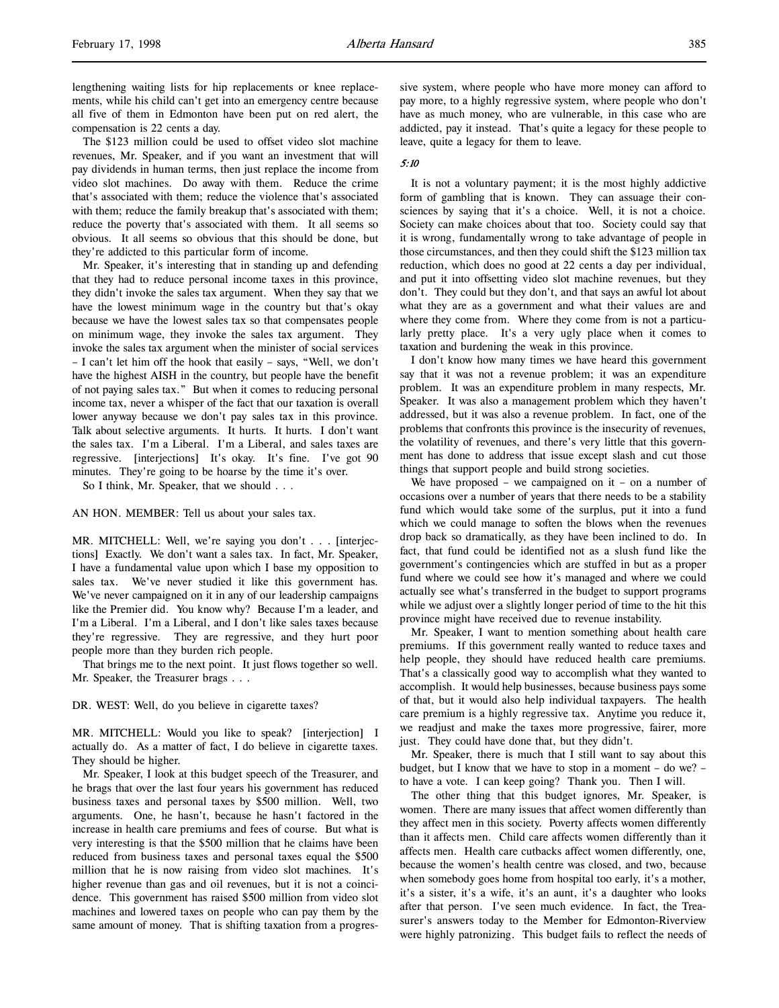The \$123 million could be used to offset video slot machine revenues, Mr. Speaker, and if you want an investment that will pay dividends in human terms, then just replace the income from video slot machines. Do away with them. Reduce the crime that's associated with them; reduce the violence that's associated with them; reduce the family breakup that's associated with them; reduce the poverty that's associated with them. It all seems so obvious. It all seems so obvious that this should be done, but they're addicted to this particular form of income.

Mr. Speaker, it's interesting that in standing up and defending that they had to reduce personal income taxes in this province, they didn't invoke the sales tax argument. When they say that we have the lowest minimum wage in the country but that's okay because we have the lowest sales tax so that compensates people on minimum wage, they invoke the sales tax argument. They invoke the sales tax argument when the minister of social services – I can't let him off the hook that easily – says, "Well, we don't have the highest AISH in the country, but people have the benefit of not paying sales tax." But when it comes to reducing personal income tax, never a whisper of the fact that our taxation is overall lower anyway because we don't pay sales tax in this province. Talk about selective arguments. It hurts. It hurts. I don't want the sales tax. I'm a Liberal. I'm a Liberal, and sales taxes are regressive. [interjections] It's okay. It's fine. I've got 90 minutes. They're going to be hoarse by the time it's over.

So I think, Mr. Speaker, that we should . . .

AN HON. MEMBER: Tell us about your sales tax.

MR. MITCHELL: Well, we're saying you don't . . . [interjections] Exactly. We don't want a sales tax. In fact, Mr. Speaker, I have a fundamental value upon which I base my opposition to sales tax. We've never studied it like this government has. We've never campaigned on it in any of our leadership campaigns like the Premier did. You know why? Because I'm a leader, and I'm a Liberal. I'm a Liberal, and I don't like sales taxes because they're regressive. They are regressive, and they hurt poor people more than they burden rich people.

That brings me to the next point. It just flows together so well. Mr. Speaker, the Treasurer brags . . .

DR. WEST: Well, do you believe in cigarette taxes?

MR. MITCHELL: Would you like to speak? [interjection] I actually do. As a matter of fact, I do believe in cigarette taxes. They should be higher.

Mr. Speaker, I look at this budget speech of the Treasurer, and he brags that over the last four years his government has reduced business taxes and personal taxes by \$500 million. Well, two arguments. One, he hasn't, because he hasn't factored in the increase in health care premiums and fees of course. But what is very interesting is that the \$500 million that he claims have been reduced from business taxes and personal taxes equal the \$500 million that he is now raising from video slot machines. It's higher revenue than gas and oil revenues, but it is not a coincidence. This government has raised \$500 million from video slot machines and lowered taxes on people who can pay them by the same amount of money. That is shifting taxation from a progressive system, where people who have more money can afford to pay more, to a highly regressive system, where people who don't have as much money, who are vulnerable, in this case who are addicted, pay it instead. That's quite a legacy for these people to leave, quite a legacy for them to leave.

#### 5:10

It is not a voluntary payment; it is the most highly addictive form of gambling that is known. They can assuage their consciences by saying that it's a choice. Well, it is not a choice. Society can make choices about that too. Society could say that it is wrong, fundamentally wrong to take advantage of people in those circumstances, and then they could shift the \$123 million tax reduction, which does no good at 22 cents a day per individual, and put it into offsetting video slot machine revenues, but they don't. They could but they don't, and that says an awful lot about what they are as a government and what their values are and where they come from. Where they come from is not a particularly pretty place. It's a very ugly place when it comes to taxation and burdening the weak in this province.

I don't know how many times we have heard this government say that it was not a revenue problem; it was an expenditure problem. It was an expenditure problem in many respects, Mr. Speaker. It was also a management problem which they haven't addressed, but it was also a revenue problem. In fact, one of the problems that confronts this province is the insecurity of revenues, the volatility of revenues, and there's very little that this government has done to address that issue except slash and cut those things that support people and build strong societies.

We have proposed – we campaigned on it – on a number of occasions over a number of years that there needs to be a stability fund which would take some of the surplus, put it into a fund which we could manage to soften the blows when the revenues drop back so dramatically, as they have been inclined to do. In fact, that fund could be identified not as a slush fund like the government's contingencies which are stuffed in but as a proper fund where we could see how it's managed and where we could actually see what's transferred in the budget to support programs while we adjust over a slightly longer period of time to the hit this province might have received due to revenue instability.

Mr. Speaker, I want to mention something about health care premiums. If this government really wanted to reduce taxes and help people, they should have reduced health care premiums. That's a classically good way to accomplish what they wanted to accomplish. It would help businesses, because business pays some of that, but it would also help individual taxpayers. The health care premium is a highly regressive tax. Anytime you reduce it, we readjust and make the taxes more progressive, fairer, more just. They could have done that, but they didn't.

Mr. Speaker, there is much that I still want to say about this budget, but I know that we have to stop in a moment – do we? – to have a vote. I can keep going? Thank you. Then I will.

The other thing that this budget ignores, Mr. Speaker, is women. There are many issues that affect women differently than they affect men in this society. Poverty affects women differently than it affects men. Child care affects women differently than it affects men. Health care cutbacks affect women differently, one, because the women's health centre was closed, and two, because when somebody goes home from hospital too early, it's a mother, it's a sister, it's a wife, it's an aunt, it's a daughter who looks after that person. I've seen much evidence. In fact, the Treasurer's answers today to the Member for Edmonton-Riverview were highly patronizing. This budget fails to reflect the needs of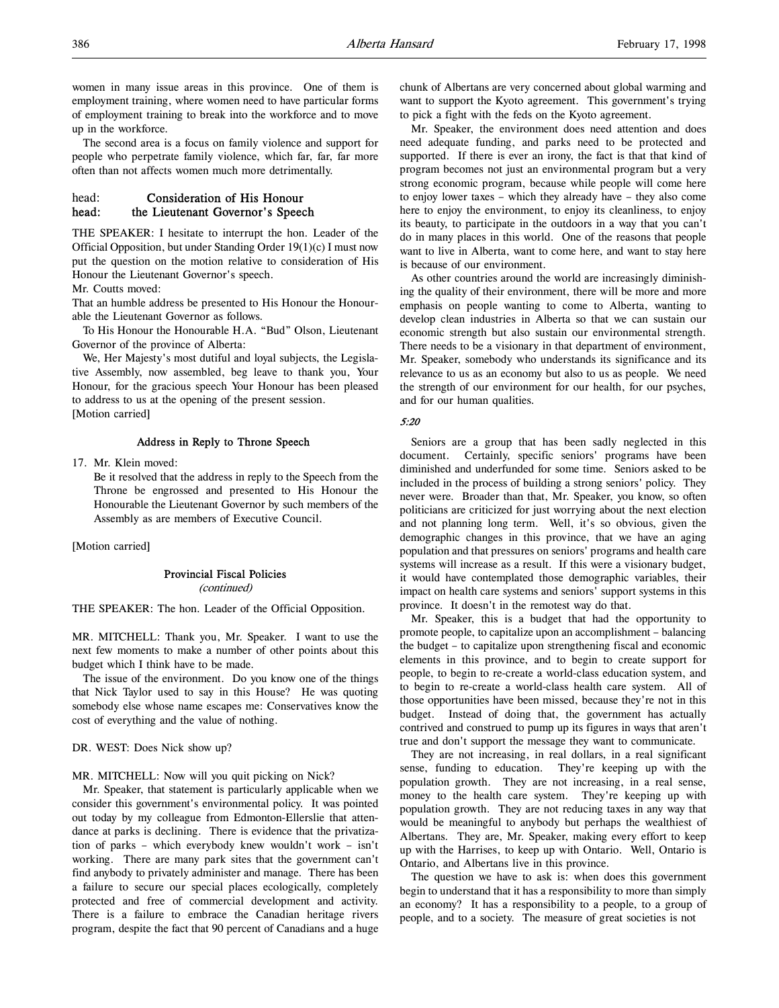women in many issue areas in this province. One of them is employment training, where women need to have particular forms of employment training to break into the workforce and to move up in the workforce.

The second area is a focus on family violence and support for people who perpetrate family violence, which far, far, far more often than not affects women much more detrimentally.

# head: Consideration of His Honour head: the Lieutenant Governor's Speech

THE SPEAKER: I hesitate to interrupt the hon. Leader of the Official Opposition, but under Standing Order 19(1)(c) I must now put the question on the motion relative to consideration of His Honour the Lieutenant Governor's speech.

Mr. Coutts moved:

That an humble address be presented to His Honour the Honourable the Lieutenant Governor as follows.

To His Honour the Honourable H.A. "Bud" Olson, Lieutenant Governor of the province of Alberta:

We, Her Majesty's most dutiful and loyal subjects, the Legislative Assembly, now assembled, beg leave to thank you, Your Honour, for the gracious speech Your Honour has been pleased to address to us at the opening of the present session. [Motion carried]

### Address in Reply to Throne Speech

17. Mr. Klein moved:

Be it resolved that the address in reply to the Speech from the Throne be engrossed and presented to His Honour the Honourable the Lieutenant Governor by such members of the Assembly as are members of Executive Council.

[Motion carried]

#### Provincial Fiscal Policies

(continued)

THE SPEAKER: The hon. Leader of the Official Opposition.

MR. MITCHELL: Thank you, Mr. Speaker. I want to use the next few moments to make a number of other points about this budget which I think have to be made.

The issue of the environment. Do you know one of the things that Nick Taylor used to say in this House? He was quoting somebody else whose name escapes me: Conservatives know the cost of everything and the value of nothing.

DR. WEST: Does Nick show up?

# MR. MITCHELL: Now will you quit picking on Nick?

Mr. Speaker, that statement is particularly applicable when we consider this government's environmental policy. It was pointed out today by my colleague from Edmonton-Ellerslie that attendance at parks is declining. There is evidence that the privatization of parks – which everybody knew wouldn't work – isn't working. There are many park sites that the government can't find anybody to privately administer and manage. There has been a failure to secure our special places ecologically, completely protected and free of commercial development and activity. There is a failure to embrace the Canadian heritage rivers program, despite the fact that 90 percent of Canadians and a huge

chunk of Albertans are very concerned about global warming and want to support the Kyoto agreement. This government's trying to pick a fight with the feds on the Kyoto agreement.

Mr. Speaker, the environment does need attention and does need adequate funding, and parks need to be protected and supported. If there is ever an irony, the fact is that that kind of program becomes not just an environmental program but a very strong economic program, because while people will come here to enjoy lower taxes – which they already have – they also come here to enjoy the environment, to enjoy its cleanliness, to enjoy its beauty, to participate in the outdoors in a way that you can't do in many places in this world. One of the reasons that people want to live in Alberta, want to come here, and want to stay here is because of our environment.

As other countries around the world are increasingly diminishing the quality of their environment, there will be more and more emphasis on people wanting to come to Alberta, wanting to develop clean industries in Alberta so that we can sustain our economic strength but also sustain our environmental strength. There needs to be a visionary in that department of environment, Mr. Speaker, somebody who understands its significance and its relevance to us as an economy but also to us as people. We need the strength of our environment for our health, for our psyches, and for our human qualities.

### 5:20

Seniors are a group that has been sadly neglected in this document. Certainly, specific seniors' programs have been diminished and underfunded for some time. Seniors asked to be included in the process of building a strong seniors' policy. They never were. Broader than that, Mr. Speaker, you know, so often politicians are criticized for just worrying about the next election and not planning long term. Well, it's so obvious, given the demographic changes in this province, that we have an aging population and that pressures on seniors' programs and health care systems will increase as a result. If this were a visionary budget, it would have contemplated those demographic variables, their impact on health care systems and seniors' support systems in this province. It doesn't in the remotest way do that.

Mr. Speaker, this is a budget that had the opportunity to promote people, to capitalize upon an accomplishment – balancing the budget – to capitalize upon strengthening fiscal and economic elements in this province, and to begin to create support for people, to begin to re-create a world-class education system, and to begin to re-create a world-class health care system. All of those opportunities have been missed, because they're not in this budget. Instead of doing that, the government has actually contrived and construed to pump up its figures in ways that aren't true and don't support the message they want to communicate.

They are not increasing, in real dollars, in a real significant sense, funding to education. They're keeping up with the population growth. They are not increasing, in a real sense, money to the health care system. They're keeping up with population growth. They are not reducing taxes in any way that would be meaningful to anybody but perhaps the wealthiest of Albertans. They are, Mr. Speaker, making every effort to keep up with the Harrises, to keep up with Ontario. Well, Ontario is Ontario, and Albertans live in this province.

The question we have to ask is: when does this government begin to understand that it has a responsibility to more than simply an economy? It has a responsibility to a people, to a group of people, and to a society. The measure of great societies is not